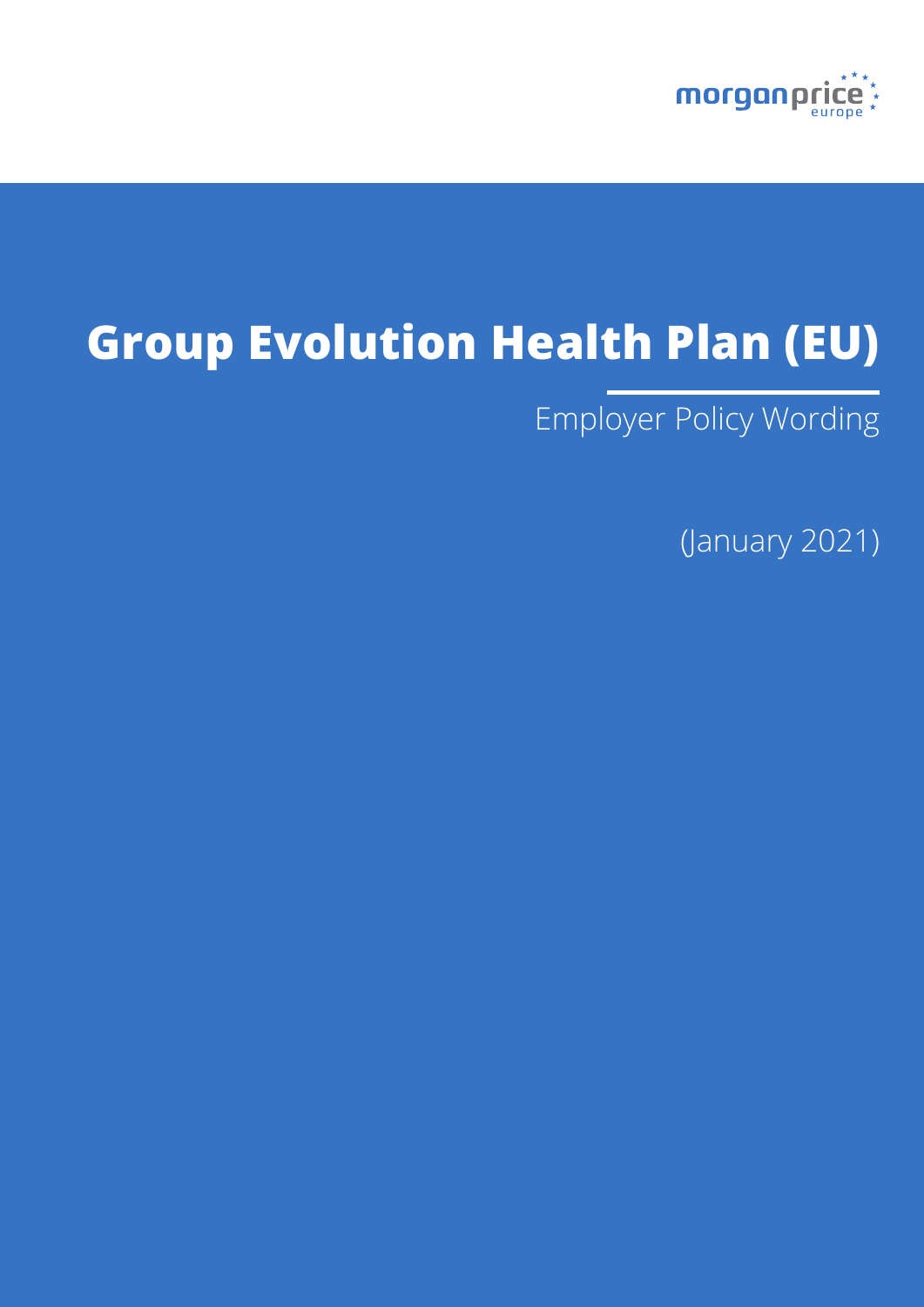

# **Group Evolution Health Plan (EU)**

Employer Policy Wording

(January 2021)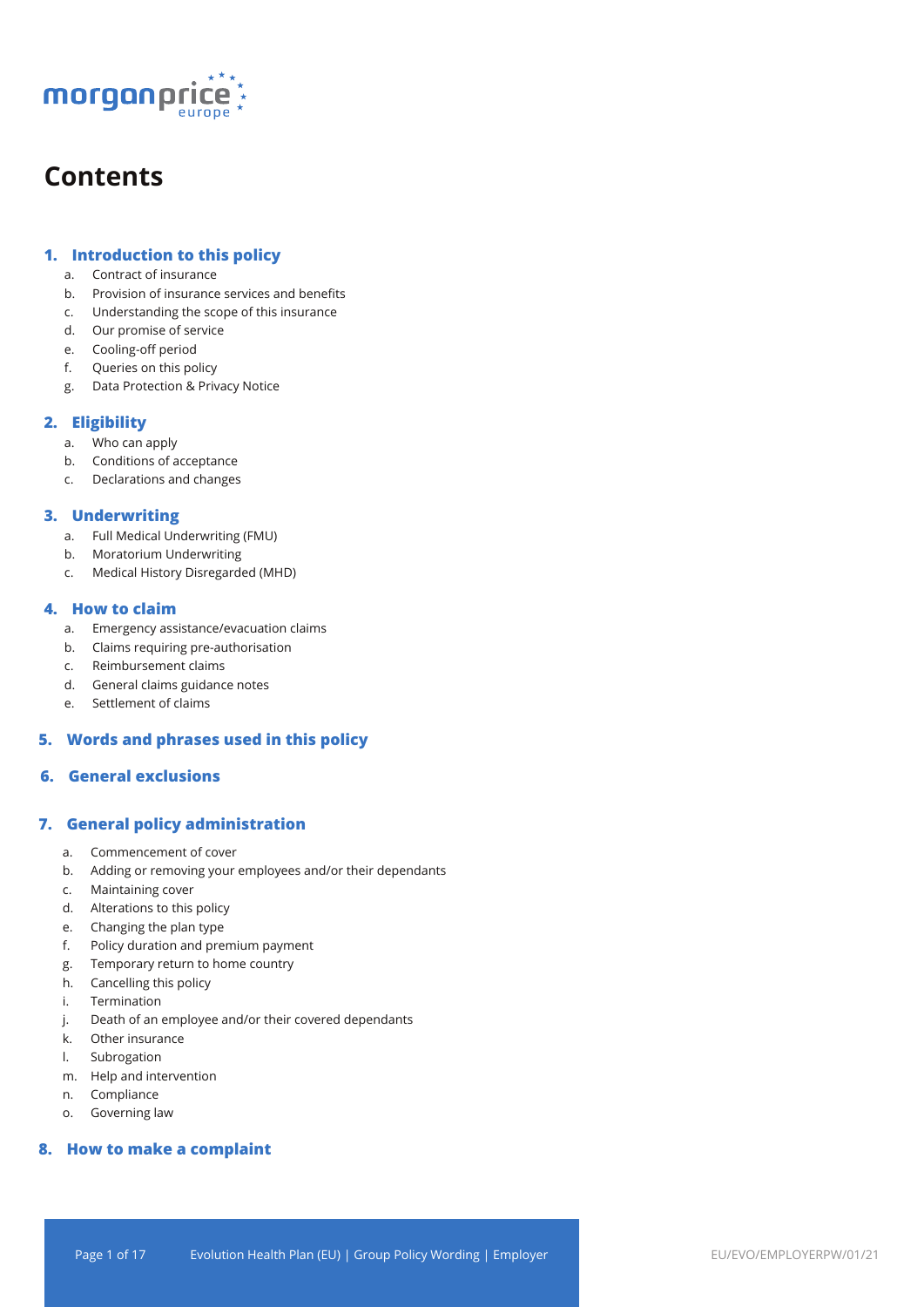

## **Contents**

## **1. Introduction to this policy**

- a. Contract of insurance
- b. Provision of insurance services and benefits
- c. Understanding the scope of this insurance
- d. Our promise of service
- e. Cooling-off period
- f. Queries on this policy
- g. Data Protection & Privacy Notice

## **2. Eligibility**

- a. Who can apply
- b. Conditions of acceptance
- c. Declarations and changes

## **3. Underwriting**

- a. Full Medical Underwriting (FMU)
- b. Moratorium Underwriting
- c. Medical History Disregarded (MHD)

## **4. How to claim**

- a. Emergency assistance/evacuation claims
- b. Claims requiring pre-authorisation
- c. Reimbursement claims
- d. General claims guidance notes
- e. Settlement of claims

## **5. Words and phrases used in this policy**

## **6. General exclusions**

## **7. General policy administration**

- a. Commencement of cover
- b. Adding or removing your employees and/or their dependants
- c. Maintaining cover
- d. Alterations to this policy
- e. Changing the plan type
- f. Policy duration and premium payment
- g. Temporary return to home country
- h. Cancelling this policy
- i. Termination
- j. Death of an employee and/or their covered dependants
- k. Other insurance
- l. Subrogation
- m. Help and intervention
- n. Compliance
- o. Governing law

## **8. How to make a complaint**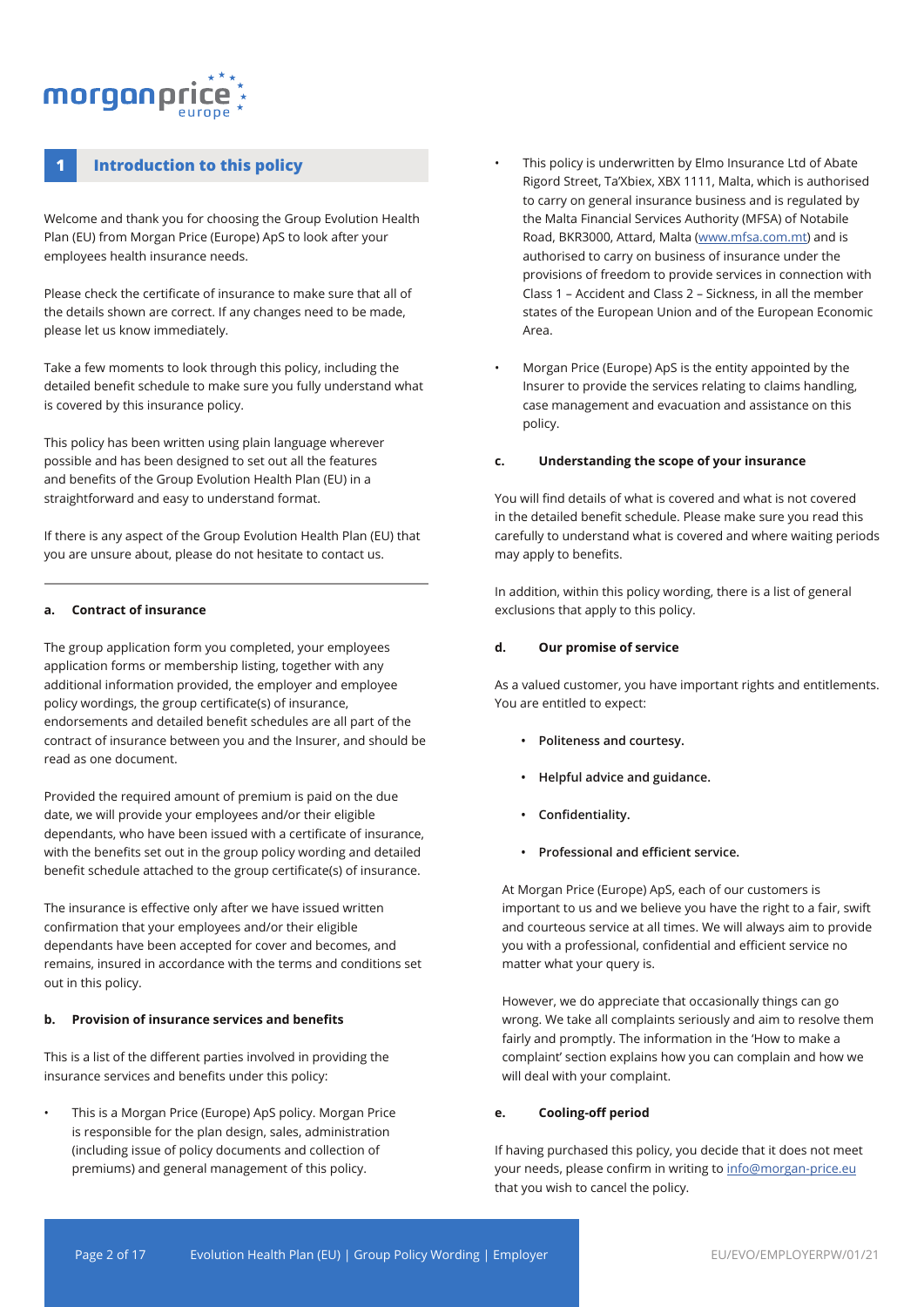## morganpri

## **1 Introduction to this policy**

Welcome and thank you for choosing the Group Evolution Health Plan (EU) from Morgan Price (Europe) ApS to look after your employees health insurance needs.

Please check the certificate of insurance to make sure that all of the details shown are correct. If any changes need to be made, please let us know immediately.

Take a few moments to look through this policy, including the detailed benefit schedule to make sure you fully understand what is covered by this insurance policy.

This policy has been written using plain language wherever possible and has been designed to set out all the features and benefits of the Group Evolution Health Plan (EU) in a straightforward and easy to understand format.

If there is any aspect of the Group Evolution Health Plan (EU) that you are unsure about, please do not hesitate to contact us.

#### **a. Contract of insurance**

The group application form you completed, your employees application forms or membership listing, together with any additional information provided, the employer and employee policy wordings, the group certificate(s) of insurance, endorsements and detailed benefit schedules are all part of the contract of insurance between you and the Insurer, and should be read as one document.

Provided the required amount of premium is paid on the due date, we will provide your employees and/or their eligible dependants, who have been issued with a certificate of insurance, with the benefits set out in the group policy wording and detailed benefit schedule attached to the group certificate(s) of insurance.

The insurance is effective only after we have issued written confirmation that your employees and/or their eligible dependants have been accepted for cover and becomes, and remains, insured in accordance with the terms and conditions set out in this policy.

#### **b. Provision of insurance services and benefits**

This is a list of the different parties involved in providing the insurance services and benefits under this policy:

• This is a Morgan Price (Europe) ApS policy. Morgan Price is responsible for the plan design, sales, administration (including issue of policy documents and collection of premiums) and general management of this policy.

- This policy is underwritten by Elmo Insurance Ltd of Abate Rigord Street, Ta'Xbiex, XBX 1111, Malta, which is authorised to carry on general insurance business and is regulated by the Malta Financial Services Authority (MFSA) of Notabile Road, BKR3000, Attard, Malta (www.mfsa.com.mt) and is authorised to carry on business of insurance under the provisions of freedom to provide services in connection with Class 1 – Accident and Class 2 – Sickness, in all the member states of the European Union and of the European Economic Area.
- Morgan Price (Europe) ApS is the entity appointed by the Insurer to provide the services relating to claims handling, case management and evacuation and assistance on this policy.

#### **c. Understanding the scope of your insurance**

You will find details of what is covered and what is not covered in the detailed benefit schedule. Please make sure you read this carefully to understand what is covered and where waiting periods may apply to benefits.

In addition, within this policy wording, there is a list of general exclusions that apply to this policy.

#### **d. Our promise of service**

As a valued customer, you have important rights and entitlements. You are entitled to expect:

- **• Politeness and courtesy.**
- **• Helpful advice and guidance.**
- **• Confidentiality.**
- **• Professional and efficient service.**

At Morgan Price (Europe) ApS, each of our customers is important to us and we believe you have the right to a fair, swift and courteous service at all times. We will always aim to provide you with a professional, confidential and efficient service no matter what your query is.

However, we do appreciate that occasionally things can go wrong. We take all complaints seriously and aim to resolve them fairly and promptly. The information in the 'How to make a complaint' section explains how you can complain and how we will deal with your complaint.

#### **e. Cooling-off period**

If having purchased this policy, you decide that it does not meet your needs, please confirm in writing to info@morgan-price.eu that you wish to cancel the policy.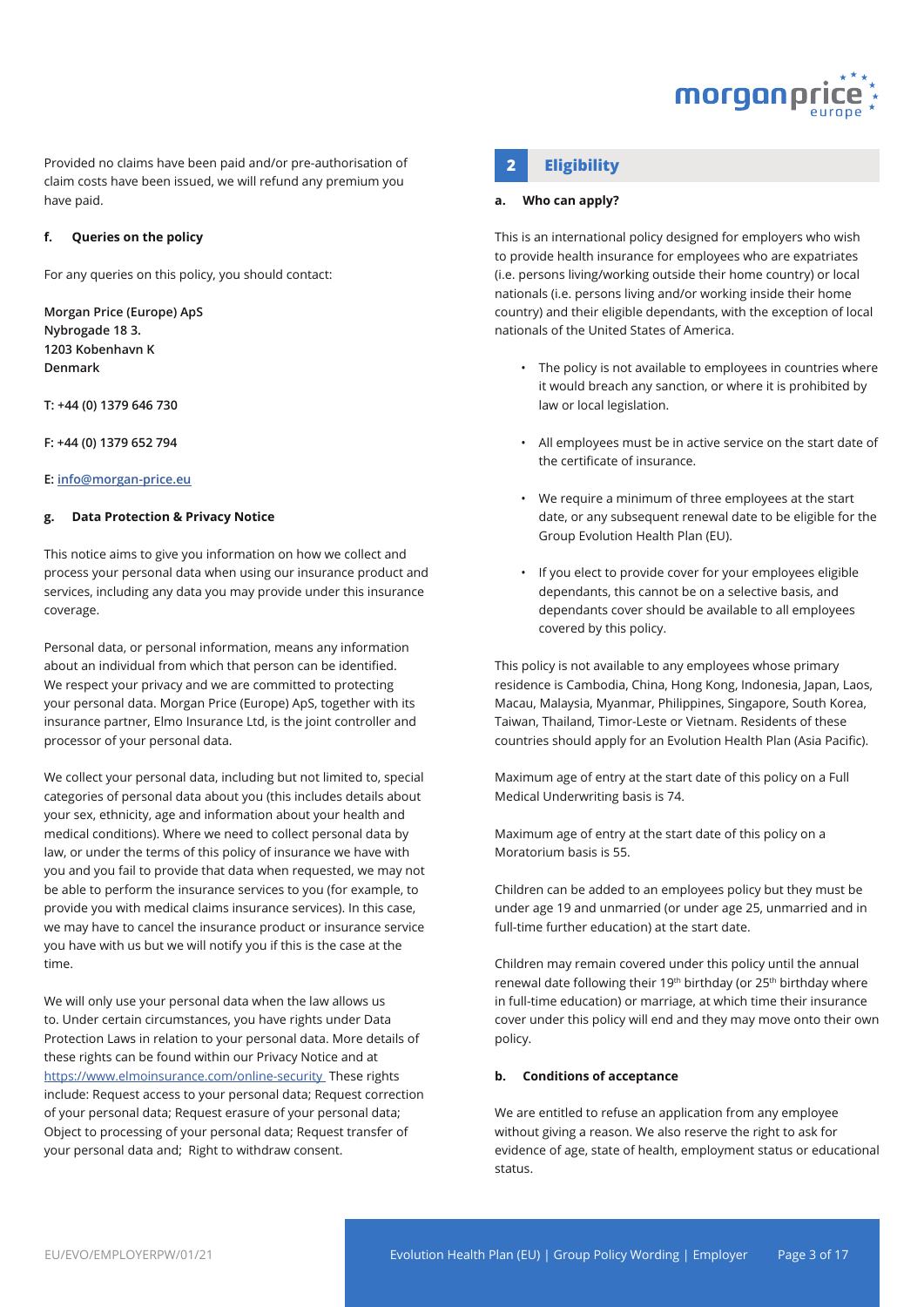

Provided no claims have been paid and/or pre-authorisation of **2 Eligibility** claim costs have been issued, we will refund any premium you have paid.

#### **f. Queries on the policy**

For any queries on this policy, you should contact:

**Morgan Price (Europe) ApS Nybrogade 18 3. 1203 Kobenhavn K Denmark** 

**T: +44 (0) 1379 646 730** 

**F: +44 (0) 1379 652 794** 

#### **E: info@morgan-price.eu**

#### **g. Data Protection & Privacy Notice**

This notice aims to give you information on how we collect and process your personal data when using our insurance product and services, including any data you may provide under this insurance coverage.

Personal data, or personal information, means any information about an individual from which that person can be identified. We respect your privacy and we are committed to protecting your personal data. Morgan Price (Europe) ApS, together with its insurance partner, Elmo Insurance Ltd, is the joint controller and processor of your personal data.

We collect your personal data, including but not limited to, special categories of personal data about you (this includes details about your sex, ethnicity, age and information about your health and medical conditions). Where we need to collect personal data by law, or under the terms of this policy of insurance we have with you and you fail to provide that data when requested, we may not be able to perform the insurance services to you (for example, to provide you with medical claims insurance services). In this case, we may have to cancel the insurance product or insurance service you have with us but we will notify you if this is the case at the time.

We will only use your personal data when the law allows us to. Under certain circumstances, you have rights under Data Protection Laws in relation to your personal data. More details of these rights can be found within our Privacy Notice and at https://www.elmoinsurance.com/online-security These rights include: Request access to your personal data; Request correction of your personal data; Request erasure of your personal data; Object to processing of your personal data; Request transfer of your personal data and; Right to withdraw consent.

#### **a. Who can apply?**

This is an international policy designed for employers who wish to provide health insurance for employees who are expatriates (i.e. persons living/working outside their home country) or local nationals (i.e. persons living and/or working inside their home country) and their eligible dependants, with the exception of local nationals of the United States of America.

- The policy is not available to employees in countries where it would breach any sanction, or where it is prohibited by law or local legislation.
- All employees must be in active service on the start date of the certificate of insurance.
- We require a minimum of three employees at the start date, or any subsequent renewal date to be eligible for the Group Evolution Health Plan (EU).
- If you elect to provide cover for your employees eligible dependants, this cannot be on a selective basis, and dependants cover should be available to all employees covered by this policy.

This policy is not available to any employees whose primary residence is Cambodia, China, Hong Kong, Indonesia, Japan, Laos, Macau, Malaysia, Myanmar, Philippines, Singapore, South Korea, Taiwan, Thailand, Timor-Leste or Vietnam. Residents of these countries should apply for an Evolution Health Plan (Asia Pacific).

Maximum age of entry at the start date of this policy on a Full Medical Underwriting basis is 74.

Maximum age of entry at the start date of this policy on a Moratorium basis is 55.

Children can be added to an employees policy but they must be under age 19 and unmarried (or under age 25, unmarried and in full-time further education) at the start date.

Children may remain covered under this policy until the annual renewal date following their 19<sup>th</sup> birthday (or 25<sup>th</sup> birthday where in full-time education) or marriage, at which time their insurance cover under this policy will end and they may move onto their own policy.

#### **b. Conditions of acceptance**

We are entitled to refuse an application from any employee without giving a reason. We also reserve the right to ask for evidence of age, state of health, employment status or educational status.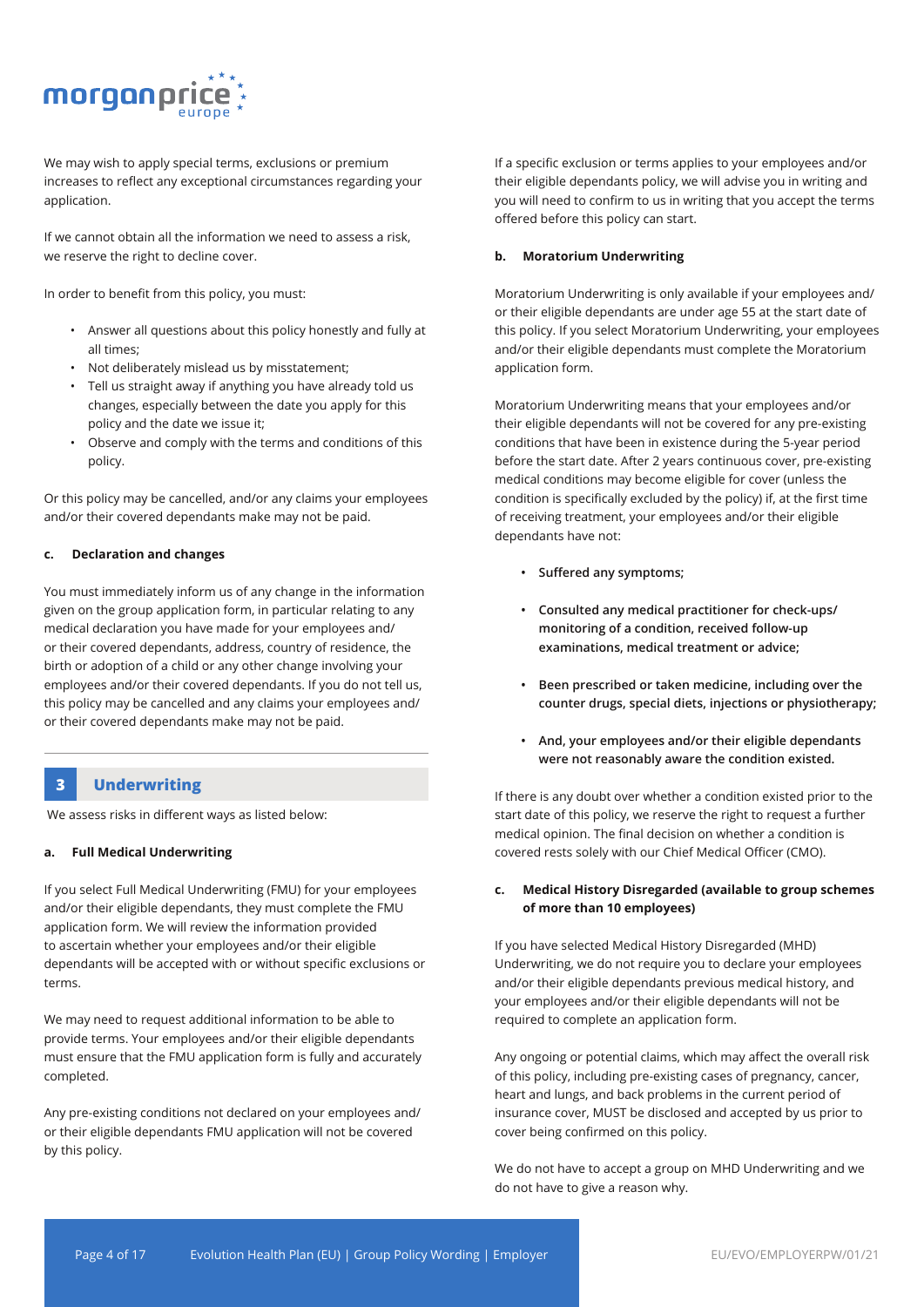

We may wish to apply special terms, exclusions or premium increases to reflect any exceptional circumstances regarding your application.

If we cannot obtain all the information we need to assess a risk, we reserve the right to decline cover.

In order to benefit from this policy, you must:

- Answer all questions about this policy honestly and fully at all times;
- Not deliberately mislead us by misstatement;
- Tell us straight away if anything you have already told us changes, especially between the date you apply for this policy and the date we issue it;
- Observe and comply with the terms and conditions of this policy.

Or this policy may be cancelled, and/or any claims your employees and/or their covered dependants make may not be paid.

#### **c. Declaration and changes**

You must immediately inform us of any change in the information given on the group application form, in particular relating to any medical declaration you have made for your employees and/ or their covered dependants, address, country of residence, the birth or adoption of a child or any other change involving your employees and/or their covered dependants. If you do not tell us, this policy may be cancelled and any claims your employees and/ or their covered dependants make may not be paid.

#### **3 Underwriting**

We assess risks in different ways as listed below:

#### **a. Full Medical Underwriting**

If you select Full Medical Underwriting (FMU) for your employees and/or their eligible dependants, they must complete the FMU application form. We will review the information provided to ascertain whether your employees and/or their eligible dependants will be accepted with or without specific exclusions or terms.

We may need to request additional information to be able to provide terms. Your employees and/or their eligible dependants must ensure that the FMU application form is fully and accurately completed.

Any pre-existing conditions not declared on your employees and/ or their eligible dependants FMU application will not be covered by this policy.

If a specific exclusion or terms applies to your employees and/or their eligible dependants policy, we will advise you in writing and you will need to confirm to us in writing that you accept the terms offered before this policy can start.

#### **b. Moratorium Underwriting**

Moratorium Underwriting is only available if your employees and/ or their eligible dependants are under age 55 at the start date of this policy. If you select Moratorium Underwriting, your employees and/or their eligible dependants must complete the Moratorium application form.

Moratorium Underwriting means that your employees and/or their eligible dependants will not be covered for any pre-existing conditions that have been in existence during the 5-year period before the start date. After 2 years continuous cover, pre-existing medical conditions may become eligible for cover (unless the condition is specifically excluded by the policy) if, at the first time of receiving treatment, your employees and/or their eligible dependants have not:

- **• Suffered any symptoms;**
- **• Consulted any medical practitioner for check-ups/ monitoring of a condition, received follow-up examinations, medical treatment or advice;**
- **• Been prescribed or taken medicine, including over the counter drugs, special diets, injections or physiotherapy;**
- **• And, your employees and/or their eligible dependants were not reasonably aware the condition existed.**

If there is any doubt over whether a condition existed prior to the start date of this policy, we reserve the right to request a further medical opinion. The final decision on whether a condition is covered rests solely with our Chief Medical Officer (CMO).

#### **c. Medical History Disregarded (available to group schemes of more than 10 employees)**

If you have selected Medical History Disregarded (MHD) Underwriting, we do not require you to declare your employees and/or their eligible dependants previous medical history, and your employees and/or their eligible dependants will not be required to complete an application form.

Any ongoing or potential claims, which may affect the overall risk of this policy, including pre-existing cases of pregnancy, cancer, heart and lungs, and back problems in the current period of insurance cover, MUST be disclosed and accepted by us prior to cover being confirmed on this policy.

We do not have to accept a group on MHD Underwriting and we do not have to give a reason why.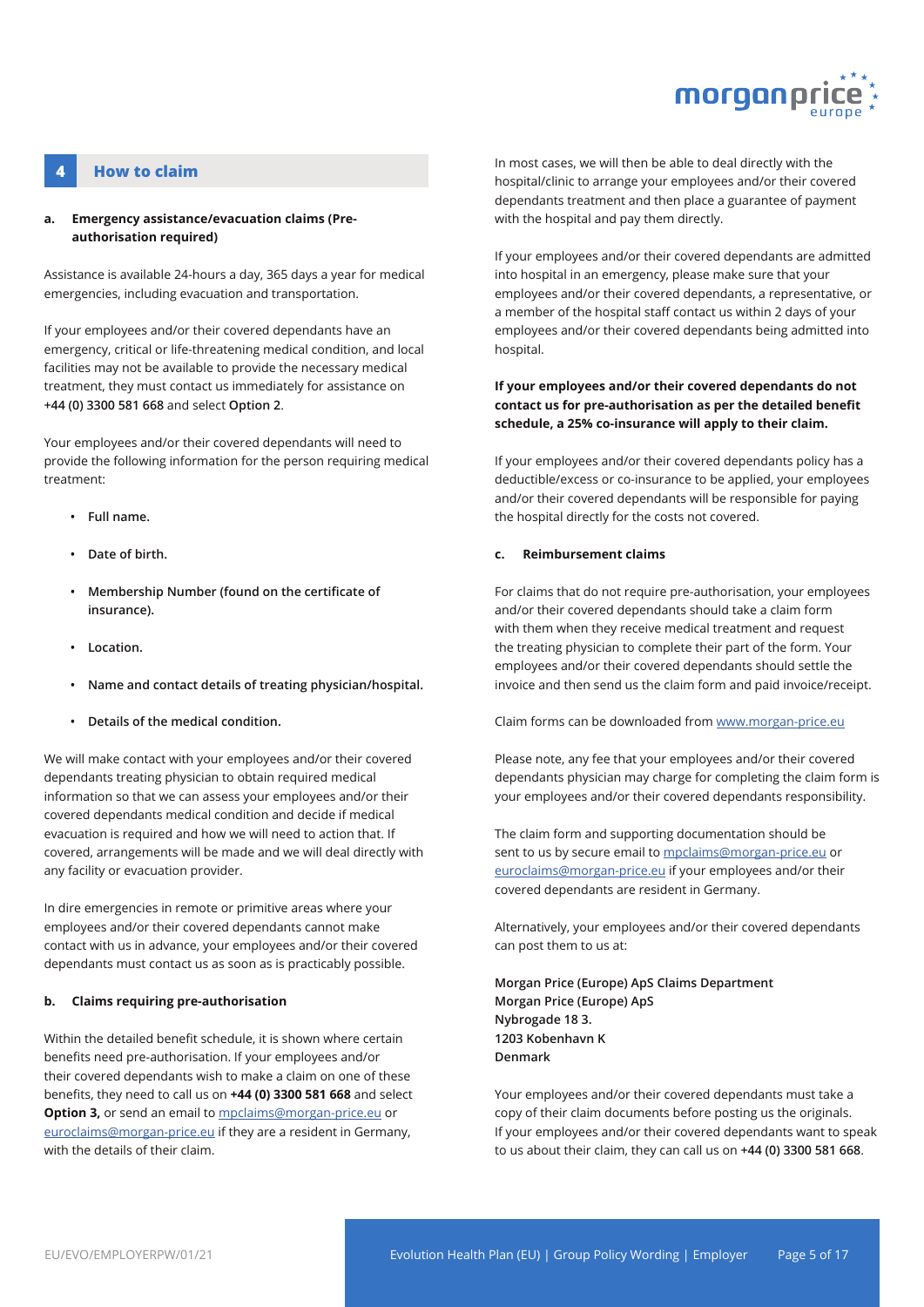

### **4 How to claim**

#### **a. Emergency assistance/evacuation claims (Preauthorisation required)**

Assistance is available 24-hours a day, 365 days a year for medical emergencies, including evacuation and transportation.

If your employees and/or their covered dependants have an emergency, critical or life-threatening medical condition, and local facilities may not be available to provide the necessary medical treatment, they must contact us immediately for assistance on **+44 (0) 3300 581 668** and select **Option 2**.

Your employees and/or their covered dependants will need to provide the following information for the person requiring medical treatment:

- **• Full name.**
- **• Date of birth.**
- **• Membership Number (found on the certificate of insurance).**
- **• Location.**
- **• Name and contact details of treating physician/hospital.**
- **• Details of the medical condition.**

We will make contact with your employees and/or their covered dependants treating physician to obtain required medical information so that we can assess your employees and/or their covered dependants medical condition and decide if medical evacuation is required and how we will need to action that. If covered, arrangements will be made and we will deal directly with any facility or evacuation provider.

In dire emergencies in remote or primitive areas where your employees and/or their covered dependants cannot make contact with us in advance, your employees and/or their covered dependants must contact us as soon as is practicably possible.

#### **b. Claims requiring pre-authorisation**

Within the detailed benefit schedule, it is shown where certain benefits need pre-authorisation. If your employees and/or their covered dependants wish to make a claim on one of these benefits, they need to call us on **+44 (0) 3300 581 668** and select **Option 3,** or send an email to mpclaims@morgan-price.eu or euroclaims@morgan-price.eu if they are a resident in Germany, with the details of their claim.

In most cases, we will then be able to deal directly with the hospital/clinic to arrange your employees and/or their covered dependants treatment and then place a guarantee of payment with the hospital and pay them directly.

If your employees and/or their covered dependants are admitted into hospital in an emergency, please make sure that your employees and/or their covered dependants, a representative, or a member of the hospital staff contact us within 2 days of your employees and/or their covered dependants being admitted into hospital.

#### **If your employees and/or their covered dependants do not contact us for pre-authorisation as per the detailed benefit schedule, a 25% co-insurance will apply to their claim.**

If your employees and/or their covered dependants policy has a deductible/excess or co-insurance to be applied, your employees and/or their covered dependants will be responsible for paying the hospital directly for the costs not covered.

#### **c. Reimbursement claims**

For claims that do not require pre-authorisation, your employees and/or their covered dependants should take a claim form with them when they receive medical treatment and request the treating physician to complete their part of the form. Your employees and/or their covered dependants should settle the invoice and then send us the claim form and paid invoice/receipt.

Claim forms can be downloaded from www.morgan-price.eu

Please note, any fee that your employees and/or their covered dependants physician may charge for completing the claim form is your employees and/or their covered dependants responsibility.

The claim form and supporting documentation should be sent to us by secure email to mpclaims@morgan-price.eu or euroclaims@morgan-price.eu if your employees and/or their covered dependants are resident in Germany.

Alternatively, your employees and/or their covered dependants can post them to us at:

**Morgan Price (Europe) ApS Claims Department Morgan Price (Europe) ApS Nybrogade 18 3. 1203 Kobenhavn K Denmark** 

Your employees and/or their covered dependants must take a copy of their claim documents before posting us the originals. If your employees and/or their covered dependants want to speak to us about their claim, they can call us on **+44 (0) 3300 581 668**.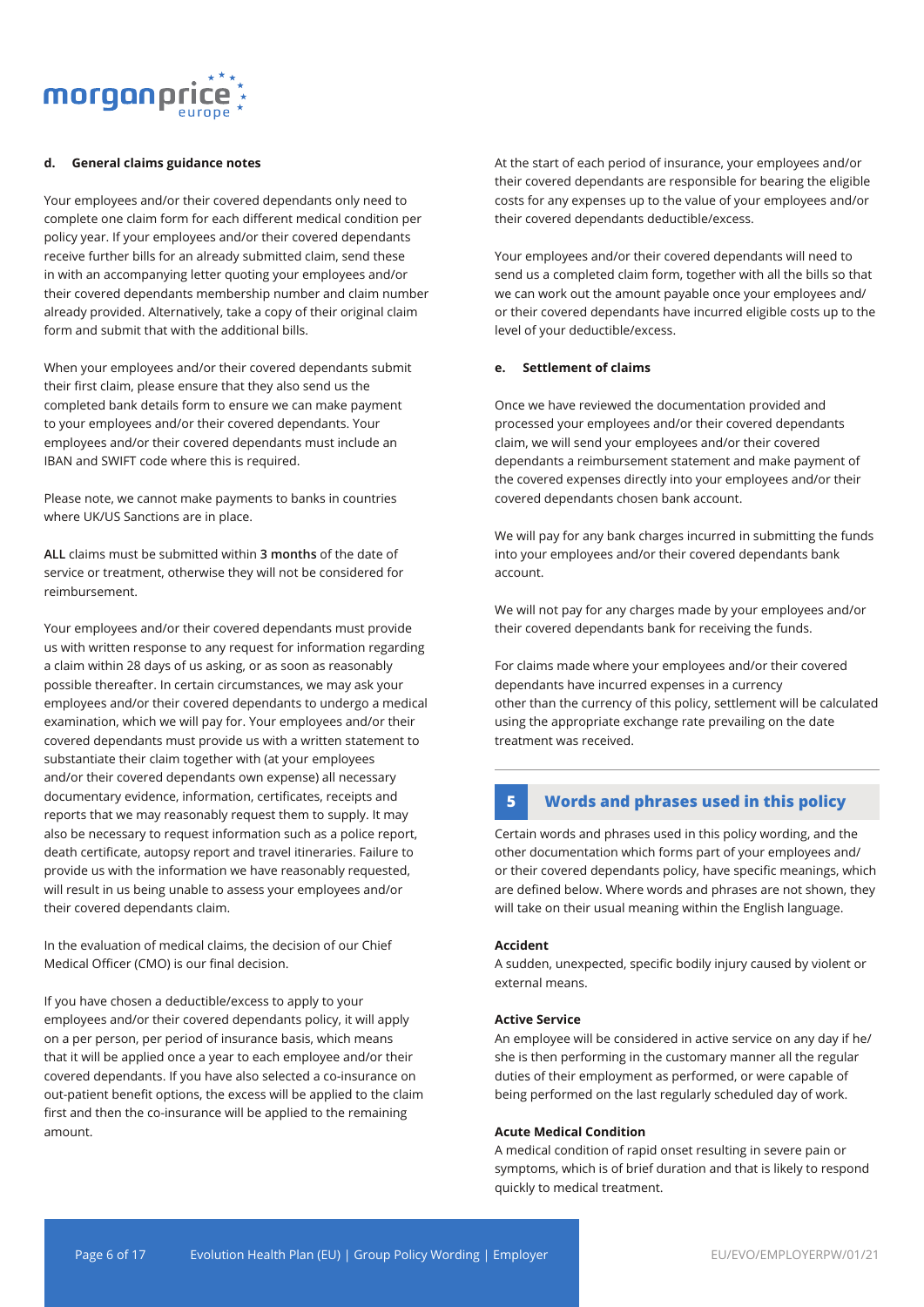

#### **d. General claims guidance notes**

Your employees and/or their covered dependants only need to complete one claim form for each different medical condition per policy year. If your employees and/or their covered dependants receive further bills for an already submitted claim, send these in with an accompanying letter quoting your employees and/or their covered dependants membership number and claim number already provided. Alternatively, take a copy of their original claim form and submit that with the additional bills.

When your employees and/or their covered dependants submit their first claim, please ensure that they also send us the completed bank details form to ensure we can make payment to your employees and/or their covered dependants. Your employees and/or their covered dependants must include an IBAN and SWIFT code where this is required.

Please note, we cannot make payments to banks in countries where UK/US Sanctions are in place.

**ALL** claims must be submitted within **3 months** of the date of service or treatment, otherwise they will not be considered for reimbursement.

Your employees and/or their covered dependants must provide us with written response to any request for information regarding a claim within 28 days of us asking, or as soon as reasonably possible thereafter. In certain circumstances, we may ask your employees and/or their covered dependants to undergo a medical examination, which we will pay for. Your employees and/or their covered dependants must provide us with a written statement to substantiate their claim together with (at your employees and/or their covered dependants own expense) all necessary documentary evidence, information, certificates, receipts and reports that we may reasonably request them to supply. It may also be necessary to request information such as a police report, death certificate, autopsy report and travel itineraries. Failure to provide us with the information we have reasonably requested, will result in us being unable to assess your employees and/or their covered dependants claim.

In the evaluation of medical claims, the decision of our Chief Medical Officer (CMO) is our final decision.

If you have chosen a deductible/excess to apply to your employees and/or their covered dependants policy, it will apply on a per person, per period of insurance basis, which means that it will be applied once a year to each employee and/or their covered dependants. If you have also selected a co-insurance on out-patient benefit options, the excess will be applied to the claim first and then the co-insurance will be applied to the remaining amount.

At the start of each period of insurance, your employees and/or their covered dependants are responsible for bearing the eligible costs for any expenses up to the value of your employees and/or their covered dependants deductible/excess.

Your employees and/or their covered dependants will need to send us a completed claim form, together with all the bills so that we can work out the amount payable once your employees and/ or their covered dependants have incurred eligible costs up to the level of your deductible/excess.

#### **e. Settlement of claims**

Once we have reviewed the documentation provided and processed your employees and/or their covered dependants claim, we will send your employees and/or their covered dependants a reimbursement statement and make payment of the covered expenses directly into your employees and/or their covered dependants chosen bank account.

We will pay for any bank charges incurred in submitting the funds into your employees and/or their covered dependants bank account.

We will not pay for any charges made by your employees and/or their covered dependants bank for receiving the funds.

For claims made where your employees and/or their covered dependants have incurred expenses in a currency other than the currency of this policy, settlement will be calculated using the appropriate exchange rate prevailing on the date treatment was received.

## **5 Words and phrases used in this policy**

Certain words and phrases used in this policy wording, and the other documentation which forms part of your employees and/ or their covered dependants policy, have specific meanings, which are defined below. Where words and phrases are not shown, they will take on their usual meaning within the English language.

#### **Accident**

A sudden, unexpected, specific bodily injury caused by violent or external means.

#### **Active Service**

An employee will be considered in active service on any day if he/ she is then performing in the customary manner all the regular duties of their employment as performed, or were capable of being performed on the last regularly scheduled day of work.

#### **Acute Medical Condition**

A medical condition of rapid onset resulting in severe pain or symptoms, which is of brief duration and that is likely to respond quickly to medical treatment.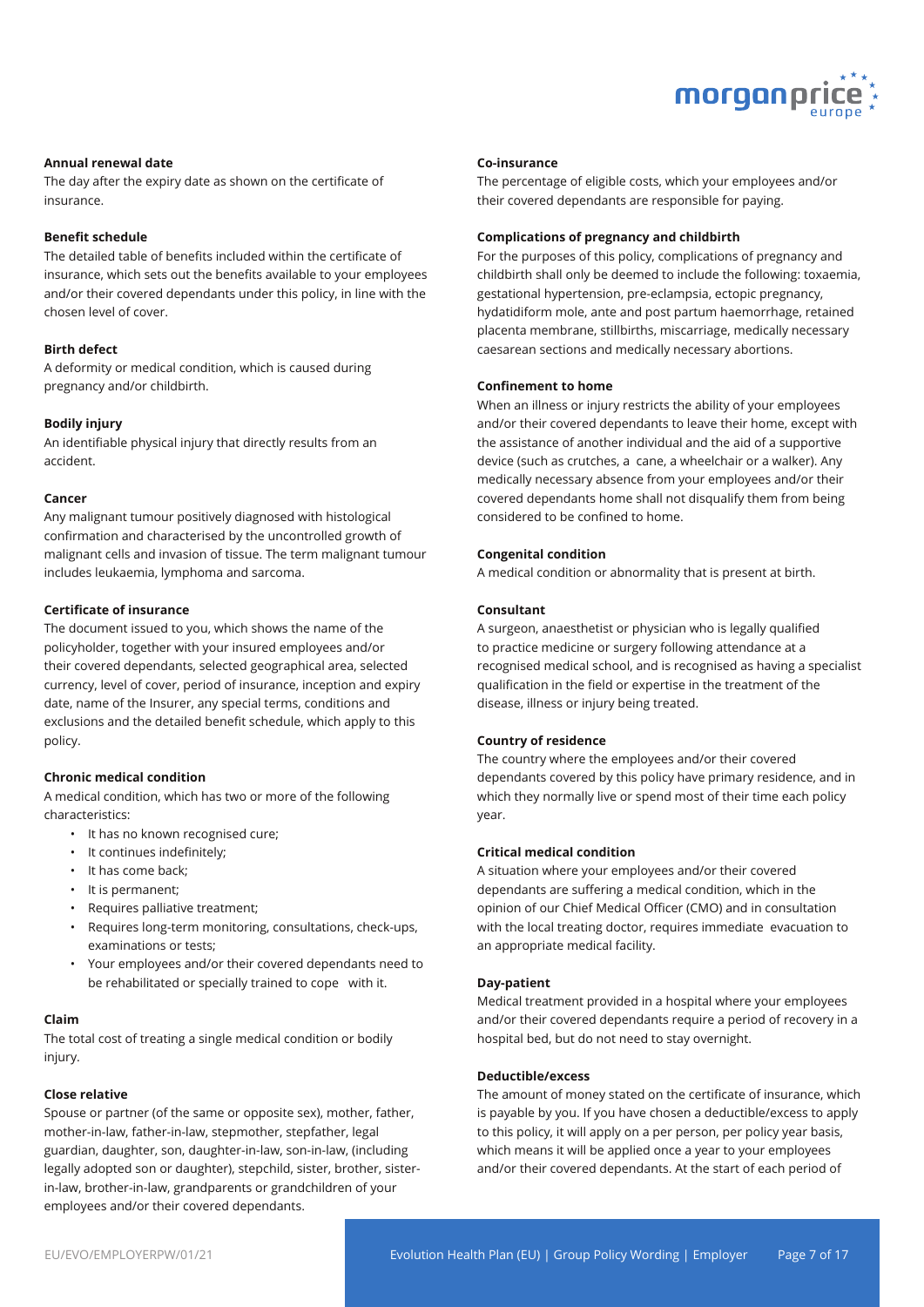

#### **Annual renewal date**

The day after the expiry date as shown on the certificate of insurance.

#### **Benefit schedule**

The detailed table of benefits included within the certificate of insurance, which sets out the benefits available to your employees and/or their covered dependants under this policy, in line with the chosen level of cover.

#### **Birth defect**

A deformity or medical condition, which is caused during pregnancy and/or childbirth.

#### **Bodily injury**

An identifiable physical injury that directly results from an accident.

#### **Cancer**

Any malignant tumour positively diagnosed with histological confirmation and characterised by the uncontrolled growth of malignant cells and invasion of tissue. The term malignant tumour includes leukaemia, lymphoma and sarcoma.

#### **Certificate of insurance**

The document issued to you, which shows the name of the policyholder, together with your insured employees and/or their covered dependants, selected geographical area, selected currency, level of cover, period of insurance, inception and expiry date, name of the Insurer, any special terms, conditions and exclusions and the detailed benefit schedule, which apply to this policy.

### **Chronic medical condition**

A medical condition, which has two or more of the following characteristics:

- It has no known recognised cure;
- It continues indefinitely;
- It has come back;
- It is permanent;
- Requires palliative treatment;
- Requires long-term monitoring, consultations, check-ups, examinations or tests;
- Your employees and/or their covered dependants need to be rehabilitated or specially trained to cope with it.

#### **Claim**

The total cost of treating a single medical condition or bodily injury.

#### **Close relative**

Spouse or partner (of the same or opposite sex), mother, father, mother-in-law, father-in-law, stepmother, stepfather, legal guardian, daughter, son, daughter-in-law, son-in-law, (including legally adopted son or daughter), stepchild, sister, brother, sisterin-law, brother-in-law, grandparents or grandchildren of your employees and/or their covered dependants.

#### **Co-insurance**

The percentage of eligible costs, which your employees and/or their covered dependants are responsible for paying.

#### **Complications of pregnancy and childbirth**

For the purposes of this policy, complications of pregnancy and childbirth shall only be deemed to include the following: toxaemia, gestational hypertension, pre-eclampsia, ectopic pregnancy, hydatidiform mole, ante and post partum haemorrhage, retained placenta membrane, stillbirths, miscarriage, medically necessary caesarean sections and medically necessary abortions.

#### **Confinement to home**

When an illness or injury restricts the ability of your employees and/or their covered dependants to leave their home, except with the assistance of another individual and the aid of a supportive device (such as crutches, a cane, a wheelchair or a walker). Any medically necessary absence from your employees and/or their covered dependants home shall not disqualify them from being considered to be confined to home.

#### **Congenital condition**

A medical condition or abnormality that is present at birth.

#### **Consultant**

A surgeon, anaesthetist or physician who is legally qualified to practice medicine or surgery following attendance at a recognised medical school, and is recognised as having a specialist qualification in the field or expertise in the treatment of the disease, illness or injury being treated.

#### **Country of residence**

The country where the employees and/or their covered dependants covered by this policy have primary residence, and in which they normally live or spend most of their time each policy year.

#### **Critical medical condition**

A situation where your employees and/or their covered dependants are suffering a medical condition, which in the opinion of our Chief Medical Officer (CMO) and in consultation with the local treating doctor, requires immediate evacuation to an appropriate medical facility.

#### **Day-patient**

Medical treatment provided in a hospital where your employees and/or their covered dependants require a period of recovery in a hospital bed, but do not need to stay overnight.

#### **Deductible/excess**

The amount of money stated on the certificate of insurance, which is payable by you. If you have chosen a deductible/excess to apply to this policy, it will apply on a per person, per policy year basis, which means it will be applied once a year to your employees and/or their covered dependants. At the start of each period of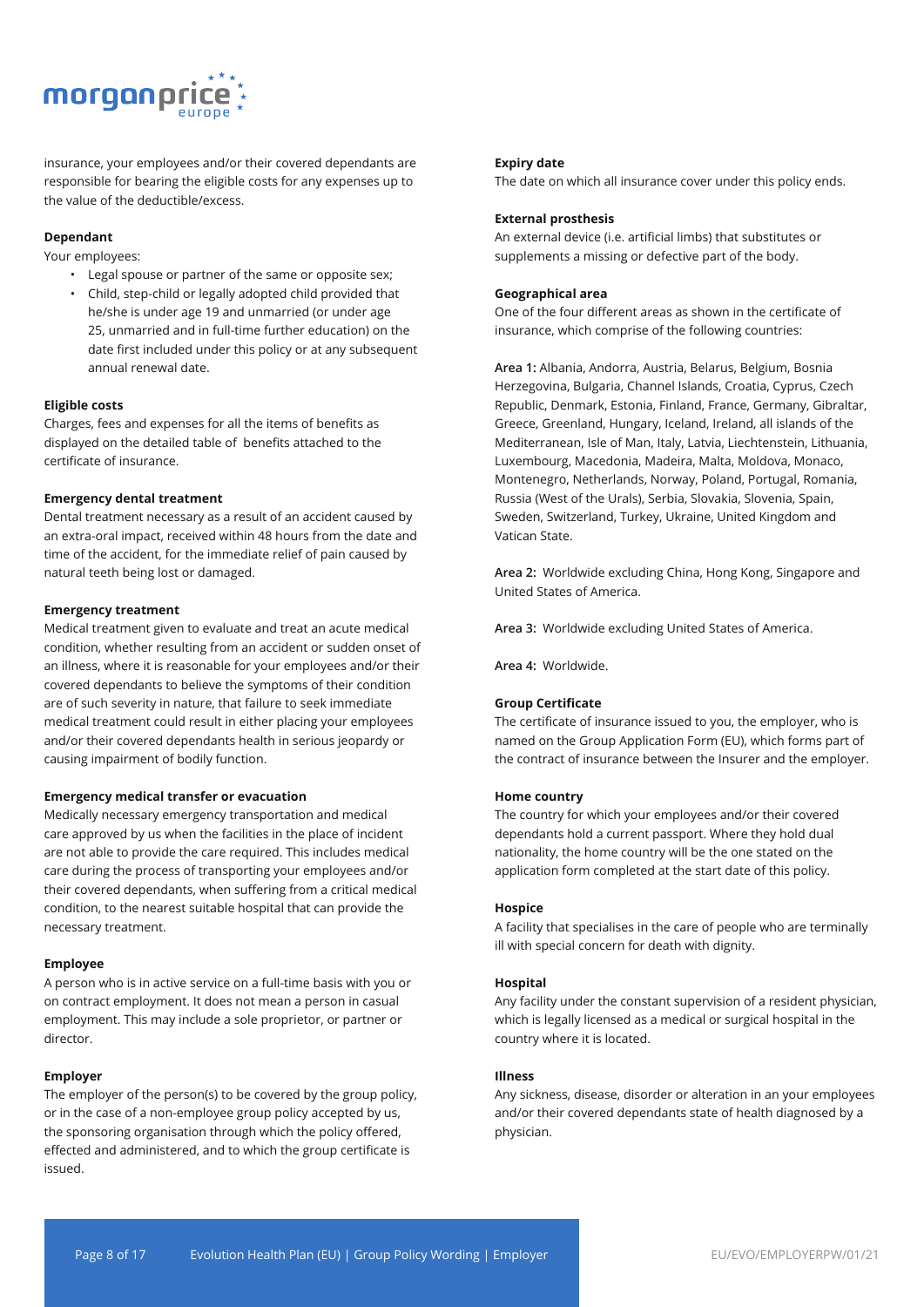

insurance, your employees and/or their covered dependants are responsible for bearing the eligible costs for any expenses up to the value of the deductible/excess.

#### **Dependant**

Your employees:

- Legal spouse or partner of the same or opposite sex; • Child, step-child or legally adopted child provided that
- he/she is under age 19 and unmarried (or under age 25, unmarried and in full-time further education) on the date first included under this policy or at any subsequent annual renewal date.

#### **Eligible costs**

Charges, fees and expenses for all the items of benefits as displayed on the detailed table of benefits attached to the certificate of insurance.

#### **Emergency dental treatment**

Dental treatment necessary as a result of an accident caused by an extra-oral impact, received within 48 hours from the date and time of the accident, for the immediate relief of pain caused by natural teeth being lost or damaged.

#### **Emergency treatment**

Medical treatment given to evaluate and treat an acute medical condition, whether resulting from an accident or sudden onset of an illness, where it is reasonable for your employees and/or their covered dependants to believe the symptoms of their condition are of such severity in nature, that failure to seek immediate medical treatment could result in either placing your employees and/or their covered dependants health in serious jeopardy or causing impairment of bodily function.

#### **Emergency medical transfer or evacuation**

Medically necessary emergency transportation and medical care approved by us when the facilities in the place of incident are not able to provide the care required. This includes medical care during the process of transporting your employees and/or their covered dependants, when suffering from a critical medical condition, to the nearest suitable hospital that can provide the necessary treatment.

#### **Employee**

A person who is in active service on a full-time basis with you or on contract employment. It does not mean a person in casual employment. This may include a sole proprietor, or partner or director.

#### **Employer**

The employer of the person(s) to be covered by the group policy, or in the case of a non-employee group policy accepted by us, the sponsoring organisation through which the policy offered, effected and administered, and to which the group certificate is issued.

#### **Expiry date**

The date on which all insurance cover under this policy ends.

#### **External prosthesis**

An external device (i.e. artificial limbs) that substitutes or supplements a missing or defective part of the body.

#### **Geographical area**

One of the four different areas as shown in the certificate of insurance, which comprise of the following countries:

**Area 1:** Albania, Andorra, Austria, Belarus, Belgium, Bosnia Herzegovina, Bulgaria, Channel Islands, Croatia, Cyprus, Czech Republic, Denmark, Estonia, Finland, France, Germany, Gibraltar, Greece, Greenland, Hungary, Iceland, Ireland, all islands of the Mediterranean, Isle of Man, Italy, Latvia, Liechtenstein, Lithuania, Luxembourg, Macedonia, Madeira, Malta, Moldova, Monaco, Montenegro, Netherlands, Norway, Poland, Portugal, Romania, Russia (West of the Urals), Serbia, Slovakia, Slovenia, Spain, Sweden, Switzerland, Turkey, Ukraine, United Kingdom and Vatican State.

**Area 2:** Worldwide excluding China, Hong Kong, Singapore and United States of America.

**Area 3:** Worldwide excluding United States of America.

**Area 4:** Worldwide.

#### **Group Certificate**

The certificate of insurance issued to you, the employer, who is named on the Group Application Form (EU), which forms part of the contract of insurance between the Insurer and the employer.

#### **Home country**

The country for which your employees and/or their covered dependants hold a current passport. Where they hold dual nationality, the home country will be the one stated on the application form completed at the start date of this policy.

#### **Hospice**

A facility that specialises in the care of people who are terminally ill with special concern for death with dignity.

#### **Hospital**

Any facility under the constant supervision of a resident physician, which is legally licensed as a medical or surgical hospital in the country where it is located.

#### **Illness**

Any sickness, disease, disorder or alteration in an your employees and/or their covered dependants state of health diagnosed by a physician.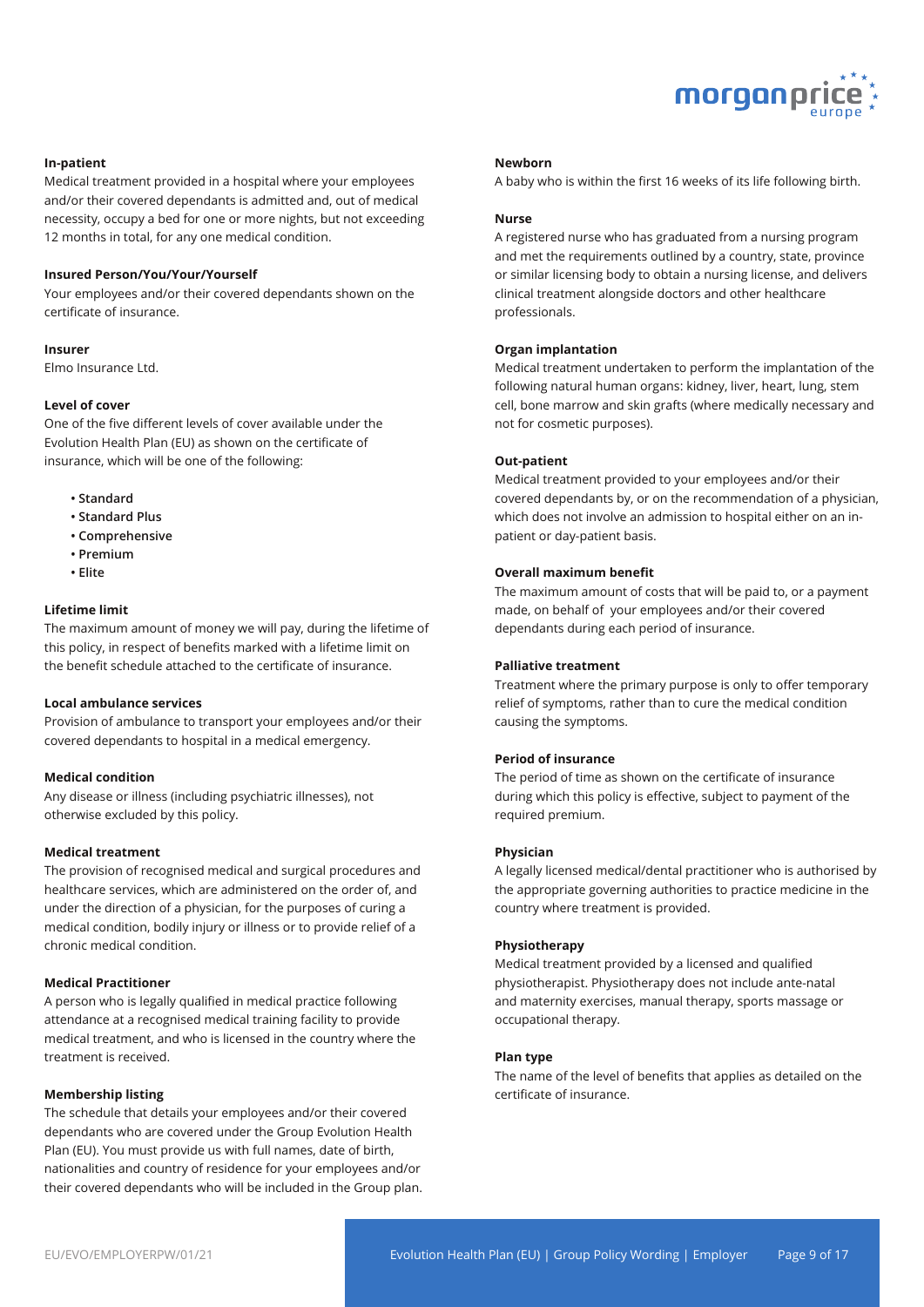

#### **In-patient**

Medical treatment provided in a hospital where your employees and/or their covered dependants is admitted and, out of medical necessity, occupy a bed for one or more nights, but not exceeding 12 months in total, for any one medical condition.

#### **Insured Person/You/Your/Yourself**

Your employees and/or their covered dependants shown on the certificate of insurance.

#### **Insurer**

Elmo Insurance Ltd.

#### **Level of cover**

One of the five different levels of cover available under the Evolution Health Plan (EU) as shown on the certificate of insurance, which will be one of the following:

- **Standard**
- **Standard Plus**
- **Comprehensive**
- **Premium**
- **Elite**

#### **Lifetime limit**

The maximum amount of money we will pay, during the lifetime of this policy, in respect of benefits marked with a lifetime limit on the benefit schedule attached to the certificate of insurance.

#### **Local ambulance services**

Provision of ambulance to transport your employees and/or their covered dependants to hospital in a medical emergency.

#### **Medical condition**

Any disease or illness (including psychiatric illnesses), not otherwise excluded by this policy.

#### **Medical treatment**

The provision of recognised medical and surgical procedures and healthcare services, which are administered on the order of, and under the direction of a physician, for the purposes of curing a medical condition, bodily injury or illness or to provide relief of a chronic medical condition.

#### **Medical Practitioner**

A person who is legally qualified in medical practice following attendance at a recognised medical training facility to provide medical treatment, and who is licensed in the country where the treatment is received.

#### **Membership listing**

The schedule that details your employees and/or their covered dependants who are covered under the Group Evolution Health Plan (EU). You must provide us with full names, date of birth, nationalities and country of residence for your employees and/or their covered dependants who will be included in the Group plan.

#### **Newborn**

A baby who is within the first 16 weeks of its life following birth.

#### **Nurse**

A registered nurse who has graduated from a nursing program and met the requirements outlined by a country, state, province or similar licensing body to obtain a nursing license, and delivers clinical treatment alongside doctors and other healthcare professionals.

#### **Organ implantation**

Medical treatment undertaken to perform the implantation of the following natural human organs: kidney, liver, heart, lung, stem cell, bone marrow and skin grafts (where medically necessary and not for cosmetic purposes).

#### **Out-patient**

Medical treatment provided to your employees and/or their covered dependants by, or on the recommendation of a physician, which does not involve an admission to hospital either on an inpatient or day-patient basis.

#### **Overall maximum benefit**

The maximum amount of costs that will be paid to, or a payment made, on behalf of your employees and/or their covered dependants during each period of insurance.

#### **Palliative treatment**

Treatment where the primary purpose is only to offer temporary relief of symptoms, rather than to cure the medical condition causing the symptoms.

#### **Period of insurance**

The period of time as shown on the certificate of insurance during which this policy is effective, subject to payment of the required premium.

#### **Physician**

A legally licensed medical/dental practitioner who is authorised by the appropriate governing authorities to practice medicine in the country where treatment is provided.

#### **Physiotherapy**

Medical treatment provided by a licensed and qualified physiotherapist. Physiotherapy does not include ante-natal and maternity exercises, manual therapy, sports massage or occupational therapy.

#### **Plan type**

The name of the level of benefits that applies as detailed on the certificate of insurance.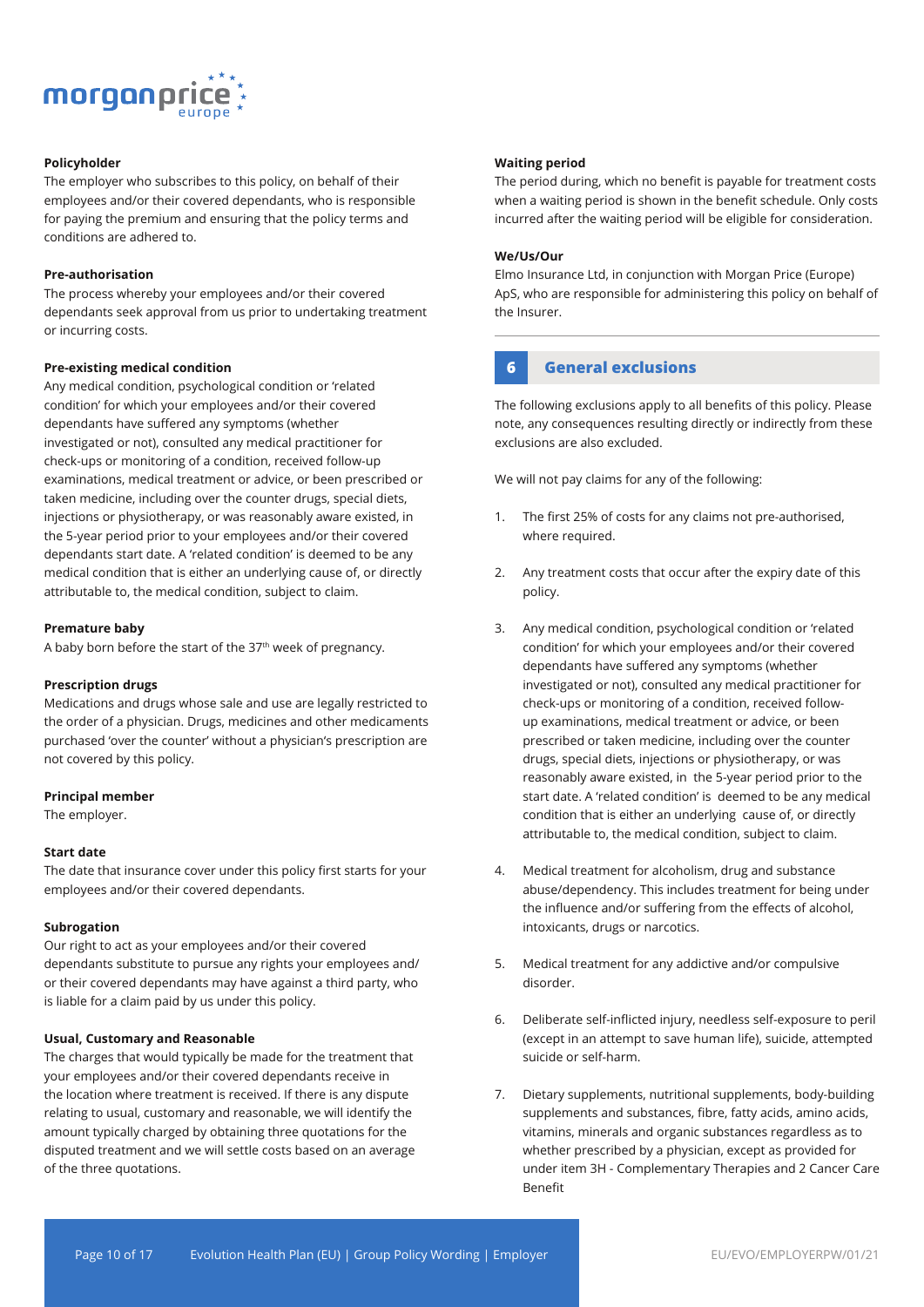

#### **Policyholder**

The employer who subscribes to this policy, on behalf of their employees and/or their covered dependants, who is responsible for paying the premium and ensuring that the policy terms and conditions are adhered to.

#### **Pre-authorisation**

The process whereby your employees and/or their covered dependants seek approval from us prior to undertaking treatment or incurring costs.

#### **Pre-existing medical condition**

Any medical condition, psychological condition or 'related condition' for which your employees and/or their covered dependants have suffered any symptoms (whether investigated or not), consulted any medical practitioner for check-ups or monitoring of a condition, received follow-up examinations, medical treatment or advice, or been prescribed or taken medicine, including over the counter drugs, special diets, injections or physiotherapy, or was reasonably aware existed, in the 5-year period prior to your employees and/or their covered dependants start date. A 'related condition' is deemed to be any medical condition that is either an underlying cause of, or directly attributable to, the medical condition, subject to claim.

#### **Premature baby**

A baby born before the start of the 37<sup>th</sup> week of pregnancy.

#### **Prescription drugs**

Medications and drugs whose sale and use are legally restricted to the order of a physician. Drugs, medicines and other medicaments purchased 'over the counter' without a physician's prescription are not covered by this policy.

#### **Principal member**

The employer.

#### **Start date**

The date that insurance cover under this policy first starts for your employees and/or their covered dependants.

#### **Subrogation**

Our right to act as your employees and/or their covered dependants substitute to pursue any rights your employees and/ or their covered dependants may have against a third party, who is liable for a claim paid by us under this policy.

#### **Usual, Customary and Reasonable**

The charges that would typically be made for the treatment that your employees and/or their covered dependants receive in the location where treatment is received. If there is any dispute relating to usual, customary and reasonable, we will identify the amount typically charged by obtaining three quotations for the disputed treatment and we will settle costs based on an average of the three quotations.

#### **Waiting period**

The period during, which no benefit is payable for treatment costs when a waiting period is shown in the benefit schedule. Only costs incurred after the waiting period will be eligible for consideration.

#### **We/Us/Our**

Elmo Insurance Ltd, in conjunction with Morgan Price (Europe) ApS, who are responsible for administering this policy on behalf of the Insurer.

### **6 General exclusions**

The following exclusions apply to all benefits of this policy. Please note, any consequences resulting directly or indirectly from these exclusions are also excluded.

We will not pay claims for any of the following:

- 1. The first 25% of costs for any claims not pre-authorised, where required.
- 2. Any treatment costs that occur after the expiry date of this policy.
- 3. Any medical condition, psychological condition or 'related condition' for which your employees and/or their covered dependants have suffered any symptoms (whether investigated or not), consulted any medical practitioner for check-ups or monitoring of a condition, received followup examinations, medical treatment or advice, or been prescribed or taken medicine, including over the counter drugs, special diets, injections or physiotherapy, or was reasonably aware existed, in the 5-year period prior to the start date. A 'related condition' is deemed to be any medical condition that is either an underlying cause of, or directly attributable to, the medical condition, subject to claim.
- 4. Medical treatment for alcoholism, drug and substance abuse/dependency. This includes treatment for being under the influence and/or suffering from the effects of alcohol, intoxicants, drugs or narcotics.
- 5. Medical treatment for any addictive and/or compulsive disorder.
- 6. Deliberate self-inflicted injury, needless self-exposure to peril (except in an attempt to save human life), suicide, attempted suicide or self-harm.
- 7. Dietary supplements, nutritional supplements, body-building supplements and substances, fibre, fatty acids, amino acids, vitamins, minerals and organic substances regardless as to whether prescribed by a physician, except as provided for under item 3H - Complementary Therapies and 2 Cancer Care Benefit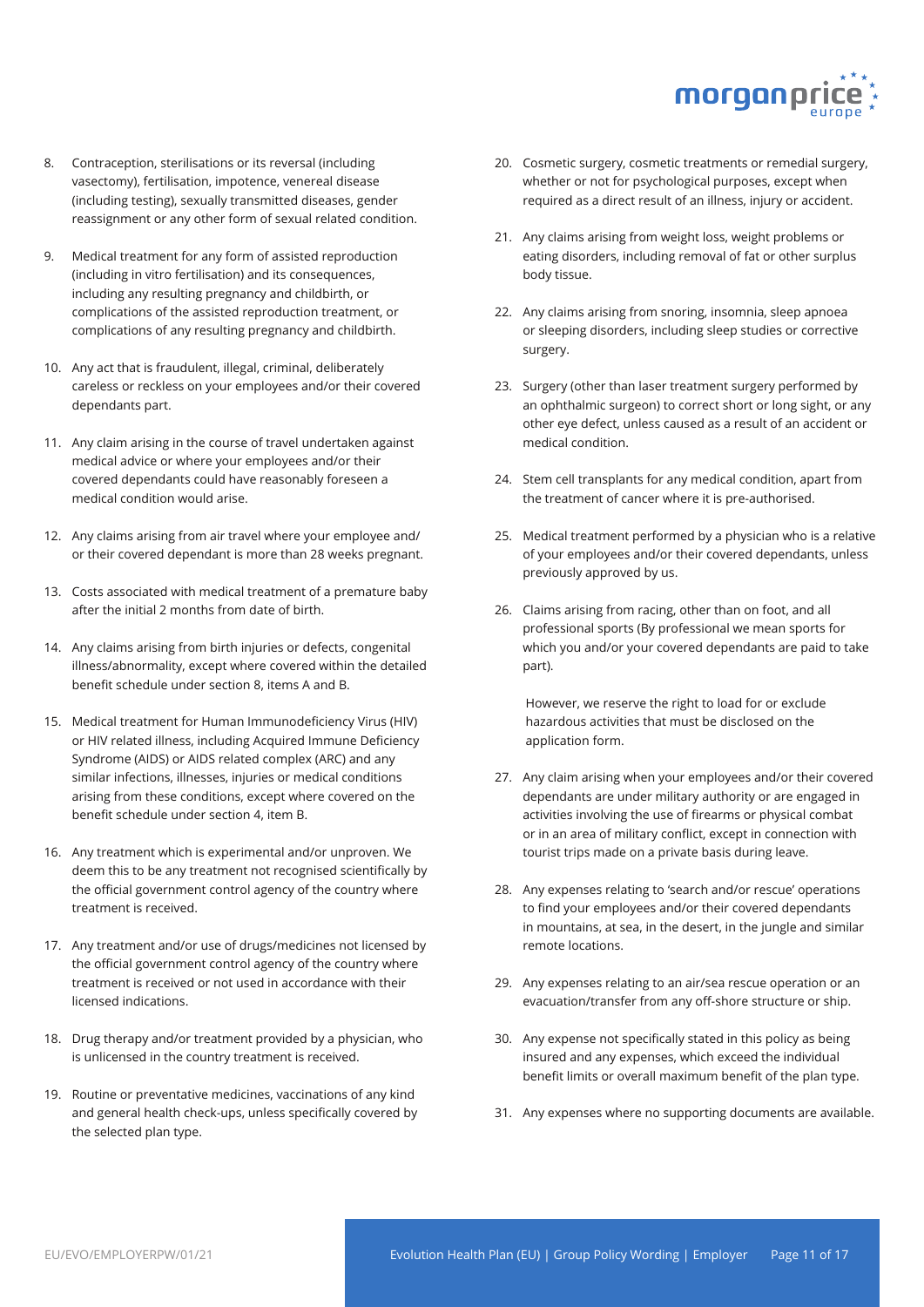

- 8. Contraception, sterilisations or its reversal (including vasectomy), fertilisation, impotence, venereal disease (including testing), sexually transmitted diseases, gender reassignment or any other form of sexual related condition.
- 9. Medical treatment for any form of assisted reproduction (including in vitro fertilisation) and its consequences, including any resulting pregnancy and childbirth, or complications of the assisted reproduction treatment, or complications of any resulting pregnancy and childbirth.
- 10. Any act that is fraudulent, illegal, criminal, deliberately careless or reckless on your employees and/or their covered dependants part.
- 11. Any claim arising in the course of travel undertaken against medical advice or where your employees and/or their covered dependants could have reasonably foreseen a medical condition would arise.
- 12. Any claims arising from air travel where your employee and/ or their covered dependant is more than 28 weeks pregnant.
- 13. Costs associated with medical treatment of a premature baby after the initial 2 months from date of birth.
- 14. Any claims arising from birth injuries or defects, congenital illness/abnormality, except where covered within the detailed benefit schedule under section 8, items A and B.
- 15. Medical treatment for Human Immunodeficiency Virus (HIV) or HIV related illness, including Acquired Immune Deficiency Syndrome (AIDS) or AIDS related complex (ARC) and any similar infections, illnesses, injuries or medical conditions arising from these conditions, except where covered on the benefit schedule under section 4, item B.
- 16. Any treatment which is experimental and/or unproven. We deem this to be any treatment not recognised scientifically by the official government control agency of the country where treatment is received.
- 17. Any treatment and/or use of drugs/medicines not licensed by the official government control agency of the country where treatment is received or not used in accordance with their licensed indications.
- 18. Drug therapy and/or treatment provided by a physician, who is unlicensed in the country treatment is received.
- 19. Routine or preventative medicines, vaccinations of any kind and general health check-ups, unless specifically covered by the selected plan type.
- 20. Cosmetic surgery, cosmetic treatments or remedial surgery, whether or not for psychological purposes, except when required as a direct result of an illness, injury or accident.
- 21. Any claims arising from weight loss, weight problems or eating disorders, including removal of fat or other surplus body tissue.
- 22. Any claims arising from snoring, insomnia, sleep apnoea or sleeping disorders, including sleep studies or corrective surgery.
- 23. Surgery (other than laser treatment surgery performed by an ophthalmic surgeon) to correct short or long sight, or any other eye defect, unless caused as a result of an accident or medical condition.
- 24. Stem cell transplants for any medical condition, apart from the treatment of cancer where it is pre-authorised.
- 25. Medical treatment performed by a physician who is a relative of your employees and/or their covered dependants, unless previously approved by us.
- 26. Claims arising from racing, other than on foot, and all professional sports (By professional we mean sports for which you and/or your covered dependants are paid to take part).

However, we reserve the right to load for or exclude hazardous activities that must be disclosed on the application form.

- 27. Any claim arising when your employees and/or their covered dependants are under military authority or are engaged in activities involving the use of firearms or physical combat or in an area of military conflict, except in connection with tourist trips made on a private basis during leave.
- 28. Any expenses relating to 'search and/or rescue' operations to find your employees and/or their covered dependants in mountains, at sea, in the desert, in the jungle and similar remote locations.
- 29. Any expenses relating to an air/sea rescue operation or an evacuation/transfer from any off-shore structure or ship.
- 30. Any expense not specifically stated in this policy as being insured and any expenses, which exceed the individual benefit limits or overall maximum benefit of the plan type.
- 31. Any expenses where no supporting documents are available.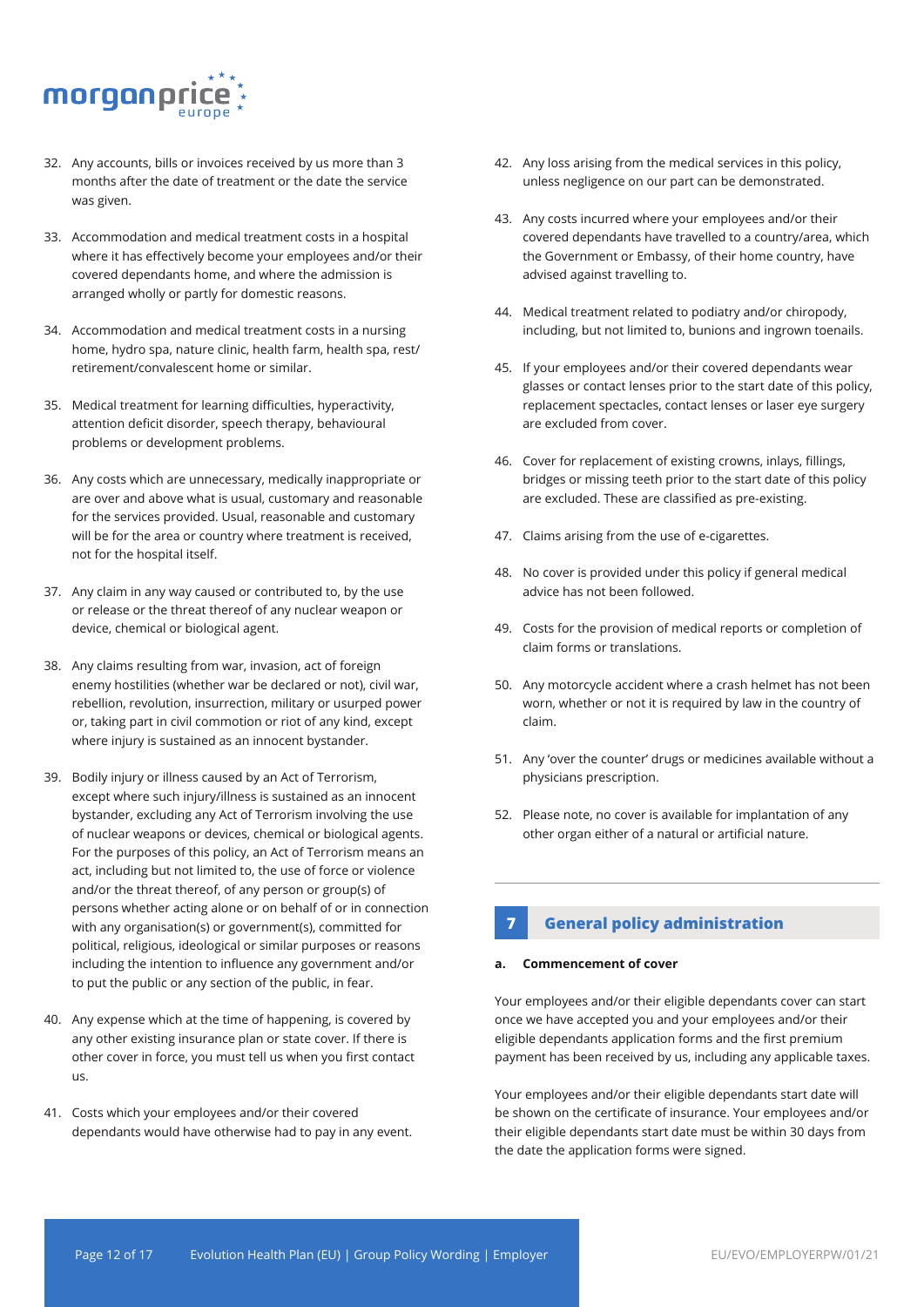

- 32. Any accounts, bills or invoices received by us more than 3 months after the date of treatment or the date the service was given.
- 33. Accommodation and medical treatment costs in a hospital where it has effectively become your employees and/or their covered dependants home, and where the admission is arranged wholly or partly for domestic reasons.
- 34. Accommodation and medical treatment costs in a nursing home, hydro spa, nature clinic, health farm, health spa, rest/ retirement/convalescent home or similar.
- 35. Medical treatment for learning difficulties, hyperactivity, attention deficit disorder, speech therapy, behavioural problems or development problems.
- 36. Any costs which are unnecessary, medically inappropriate or are over and above what is usual, customary and reasonable for the services provided. Usual, reasonable and customary will be for the area or country where treatment is received, not for the hospital itself.
- 37. Any claim in any way caused or contributed to, by the use or release or the threat thereof of any nuclear weapon or device, chemical or biological agent.
- 38. Any claims resulting from war, invasion, act of foreign enemy hostilities (whether war be declared or not), civil war, rebellion, revolution, insurrection, military or usurped power or, taking part in civil commotion or riot of any kind, except where injury is sustained as an innocent bystander.
- 39. Bodily injury or illness caused by an Act of Terrorism, except where such injury/illness is sustained as an innocent bystander, excluding any Act of Terrorism involving the use of nuclear weapons or devices, chemical or biological agents. For the purposes of this policy, an Act of Terrorism means an act, including but not limited to, the use of force or violence and/or the threat thereof, of any person or group(s) of persons whether acting alone or on behalf of or in connection with any organisation(s) or government(s), committed for political, religious, ideological or similar purposes or reasons including the intention to influence any government and/or to put the public or any section of the public, in fear.
- 40. Any expense which at the time of happening, is covered by any other existing insurance plan or state cover. If there is other cover in force, you must tell us when you first contact us.
- 41. Costs which your employees and/or their covered dependants would have otherwise had to pay in any event.
- 42. Any loss arising from the medical services in this policy, unless negligence on our part can be demonstrated.
- 43. Any costs incurred where your employees and/or their covered dependants have travelled to a country/area, which the Government or Embassy, of their home country, have advised against travelling to.
- 44. Medical treatment related to podiatry and/or chiropody, including, but not limited to, bunions and ingrown toenails.
- 45. If your employees and/or their covered dependants wear glasses or contact lenses prior to the start date of this policy, replacement spectacles, contact lenses or laser eye surgery are excluded from cover.
- 46. Cover for replacement of existing crowns, inlays, fillings, bridges or missing teeth prior to the start date of this policy are excluded. These are classified as pre-existing.
- 47. Claims arising from the use of e-cigarettes.
- 48. No cover is provided under this policy if general medical advice has not been followed.
- 49. Costs for the provision of medical reports or completion of claim forms or translations.
- 50. Any motorcycle accident where a crash helmet has not been worn, whether or not it is required by law in the country of claim.
- 51. Any 'over the counter' drugs or medicines available without a physicians prescription.
- 52. Please note, no cover is available for implantation of any other organ either of a natural or artificial nature.

## **7 General policy administration**

#### **a. Commencement of cover**

Your employees and/or their eligible dependants cover can start once we have accepted you and your employees and/or their eligible dependants application forms and the first premium payment has been received by us, including any applicable taxes.

Your employees and/or their eligible dependants start date will be shown on the certificate of insurance. Your employees and/or their eligible dependants start date must be within 30 days from the date the application forms were signed.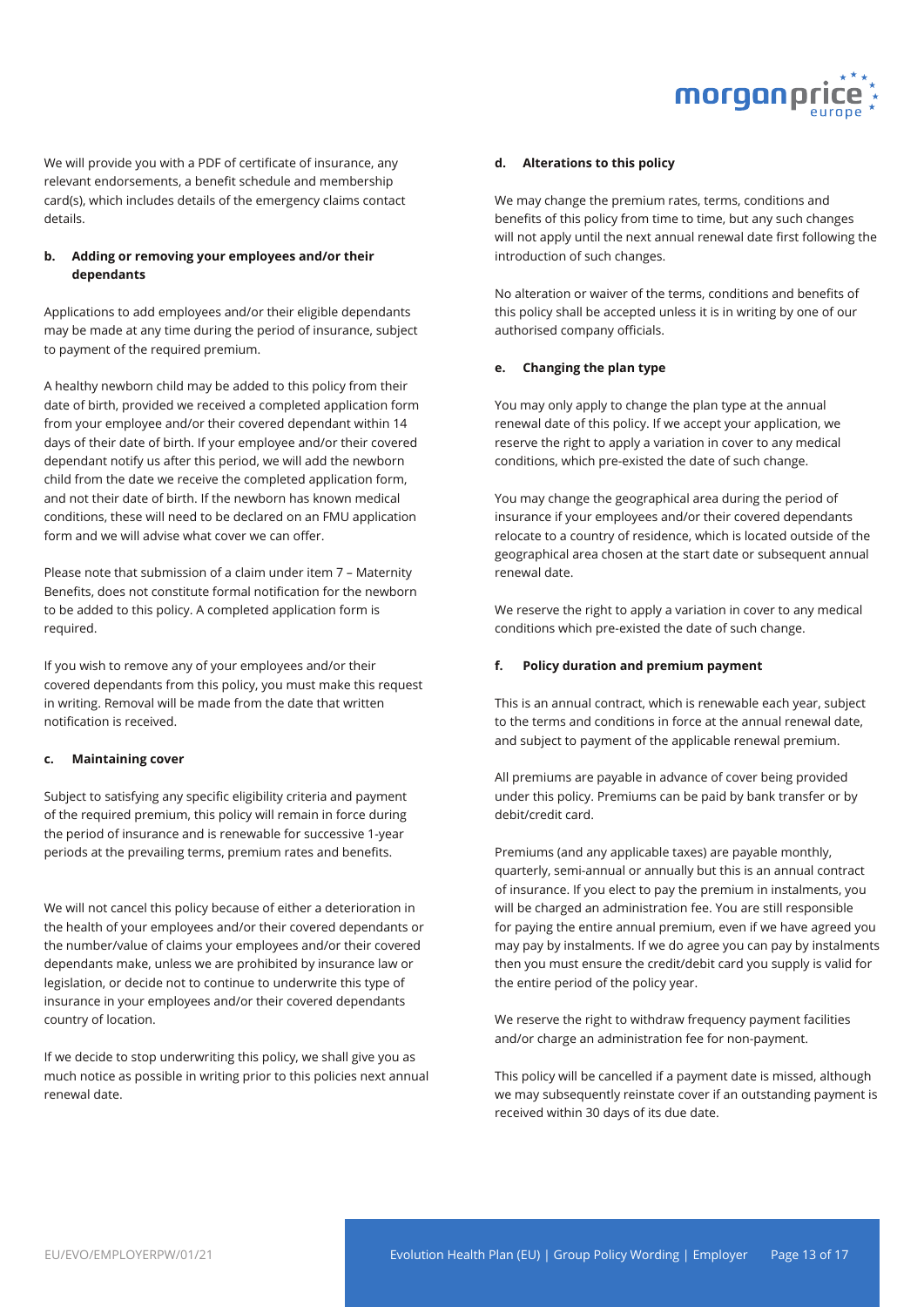

We will provide you with a PDF of certificate of insurance, any relevant endorsements, a benefit schedule and membership card(s), which includes details of the emergency claims contact details.

#### **b. Adding or removing your employees and/or their dependants**

Applications to add employees and/or their eligible dependants may be made at any time during the period of insurance, subject to payment of the required premium.

A healthy newborn child may be added to this policy from their date of birth, provided we received a completed application form from your employee and/or their covered dependant within 14 days of their date of birth. If your employee and/or their covered dependant notify us after this period, we will add the newborn child from the date we receive the completed application form, and not their date of birth. If the newborn has known medical conditions, these will need to be declared on an FMU application form and we will advise what cover we can offer.

Please note that submission of a claim under item 7 – Maternity Benefits, does not constitute formal notification for the newborn to be added to this policy. A completed application form is required.

If you wish to remove any of your employees and/or their covered dependants from this policy, you must make this request in writing. Removal will be made from the date that written notification is received.

#### **c. Maintaining cover**

Subject to satisfying any specific eligibility criteria and payment of the required premium, this policy will remain in force during the period of insurance and is renewable for successive 1-year periods at the prevailing terms, premium rates and benefits.

We will not cancel this policy because of either a deterioration in the health of your employees and/or their covered dependants or the number/value of claims your employees and/or their covered dependants make, unless we are prohibited by insurance law or legislation, or decide not to continue to underwrite this type of insurance in your employees and/or their covered dependants country of location.

If we decide to stop underwriting this policy, we shall give you as much notice as possible in writing prior to this policies next annual renewal date.

#### **d. Alterations to this policy**

We may change the premium rates, terms, conditions and benefits of this policy from time to time, but any such changes will not apply until the next annual renewal date first following the introduction of such changes.

No alteration or waiver of the terms, conditions and benefits of this policy shall be accepted unless it is in writing by one of our authorised company officials.

#### **e. Changing the plan type**

You may only apply to change the plan type at the annual renewal date of this policy. If we accept your application, we reserve the right to apply a variation in cover to any medical conditions, which pre-existed the date of such change.

You may change the geographical area during the period of insurance if your employees and/or their covered dependants relocate to a country of residence, which is located outside of the geographical area chosen at the start date or subsequent annual renewal date.

We reserve the right to apply a variation in cover to any medical conditions which pre-existed the date of such change.

#### **f. Policy duration and premium payment**

This is an annual contract, which is renewable each year, subject to the terms and conditions in force at the annual renewal date, and subject to payment of the applicable renewal premium.

All premiums are payable in advance of cover being provided under this policy. Premiums can be paid by bank transfer or by debit/credit card.

Premiums (and any applicable taxes) are payable monthly, quarterly, semi-annual or annually but this is an annual contract of insurance. If you elect to pay the premium in instalments, you will be charged an administration fee. You are still responsible for paying the entire annual premium, even if we have agreed you may pay by instalments. If we do agree you can pay by instalments then you must ensure the credit/debit card you supply is valid for the entire period of the policy year.

We reserve the right to withdraw frequency payment facilities and/or charge an administration fee for non-payment.

This policy will be cancelled if a payment date is missed, although we may subsequently reinstate cover if an outstanding payment is received within 30 days of its due date.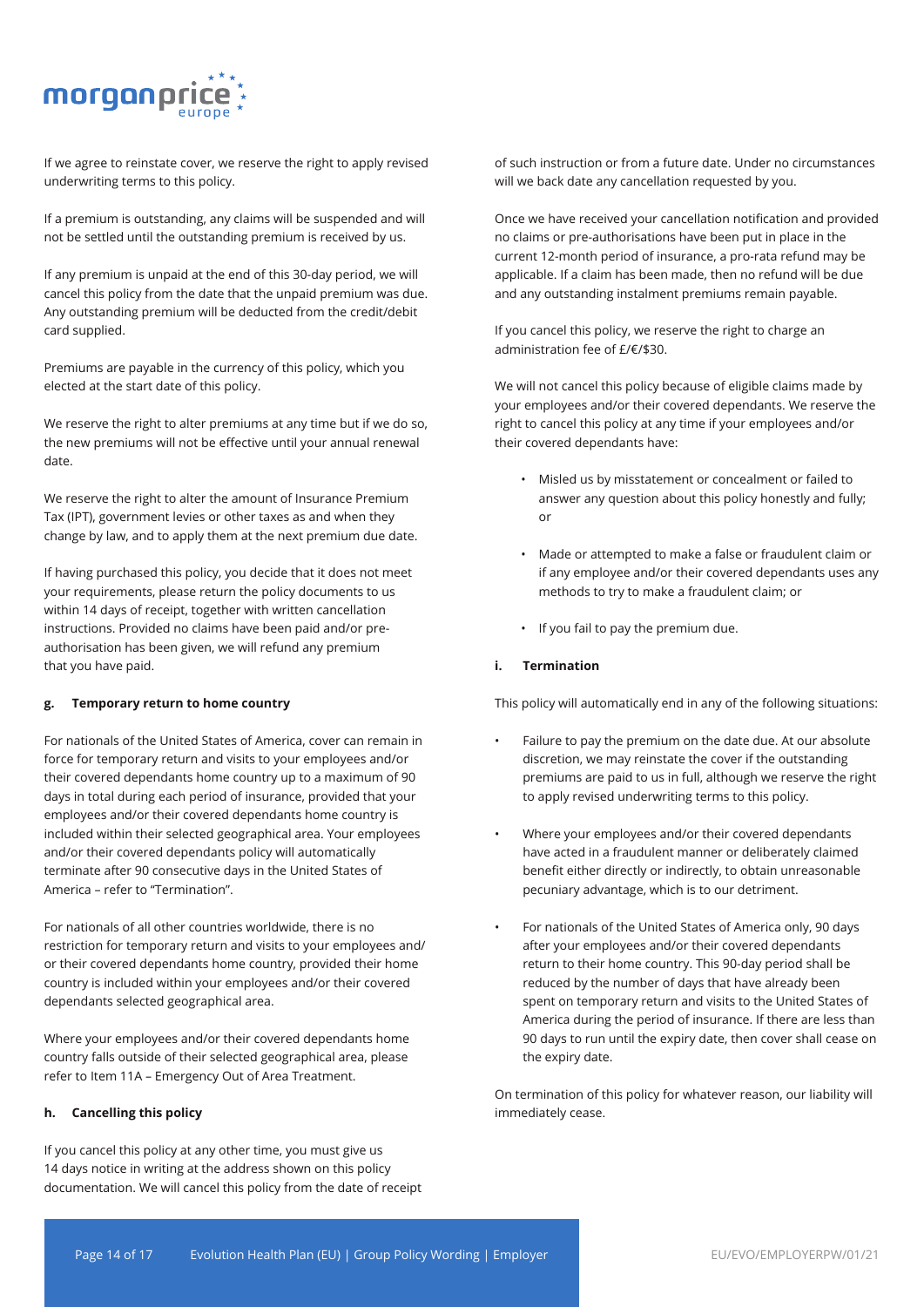

If we agree to reinstate cover, we reserve the right to apply revised underwriting terms to this policy.

If a premium is outstanding, any claims will be suspended and will not be settled until the outstanding premium is received by us.

If any premium is unpaid at the end of this 30-day period, we will cancel this policy from the date that the unpaid premium was due. Any outstanding premium will be deducted from the credit/debit card supplied.

Premiums are payable in the currency of this policy, which you elected at the start date of this policy.

We reserve the right to alter premiums at any time but if we do so, the new premiums will not be effective until your annual renewal date.

We reserve the right to alter the amount of Insurance Premium Tax (IPT), government levies or other taxes as and when they change by law, and to apply them at the next premium due date.

If having purchased this policy, you decide that it does not meet your requirements, please return the policy documents to us within 14 days of receipt, together with written cancellation instructions. Provided no claims have been paid and/or preauthorisation has been given, we will refund any premium that you have paid.

#### **g. Temporary return to home country**

For nationals of the United States of America, cover can remain in force for temporary return and visits to your employees and/or their covered dependants home country up to a maximum of 90 days in total during each period of insurance, provided that your employees and/or their covered dependants home country is included within their selected geographical area. Your employees and/or their covered dependants policy will automatically terminate after 90 consecutive days in the United States of America – refer to "Termination".

For nationals of all other countries worldwide, there is no restriction for temporary return and visits to your employees and/ or their covered dependants home country, provided their home country is included within your employees and/or their covered dependants selected geographical area.

Where your employees and/or their covered dependants home country falls outside of their selected geographical area, please refer to Item 11A – Emergency Out of Area Treatment.

#### **h. Cancelling this policy**

If you cancel this policy at any other time, you must give us 14 days notice in writing at the address shown on this policy documentation. We will cancel this policy from the date of receipt

of such instruction or from a future date. Under no circumstances will we back date any cancellation requested by you.

Once we have received your cancellation notification and provided no claims or pre-authorisations have been put in place in the current 12-month period of insurance, a pro-rata refund may be applicable. If a claim has been made, then no refund will be due and any outstanding instalment premiums remain payable.

If you cancel this policy, we reserve the right to charge an administration fee of £/€/\$30.

We will not cancel this policy because of eligible claims made by your employees and/or their covered dependants. We reserve the right to cancel this policy at any time if your employees and/or their covered dependants have:

- Misled us by misstatement or concealment or failed to answer any question about this policy honestly and fully; or
- Made or attempted to make a false or fraudulent claim or if any employee and/or their covered dependants uses any methods to try to make a fraudulent claim; or
- If you fail to pay the premium due.

#### **i. Termination**

This policy will automatically end in any of the following situations:

- Failure to pay the premium on the date due. At our absolute discretion, we may reinstate the cover if the outstanding premiums are paid to us in full, although we reserve the right to apply revised underwriting terms to this policy.
- Where your employees and/or their covered dependants have acted in a fraudulent manner or deliberately claimed benefit either directly or indirectly, to obtain unreasonable pecuniary advantage, which is to our detriment.
- For nationals of the United States of America only, 90 days after your employees and/or their covered dependants return to their home country. This 90-day period shall be reduced by the number of days that have already been spent on temporary return and visits to the United States of America during the period of insurance. If there are less than 90 days to run until the expiry date, then cover shall cease on the expiry date.

On termination of this policy for whatever reason, our liability will immediately cease.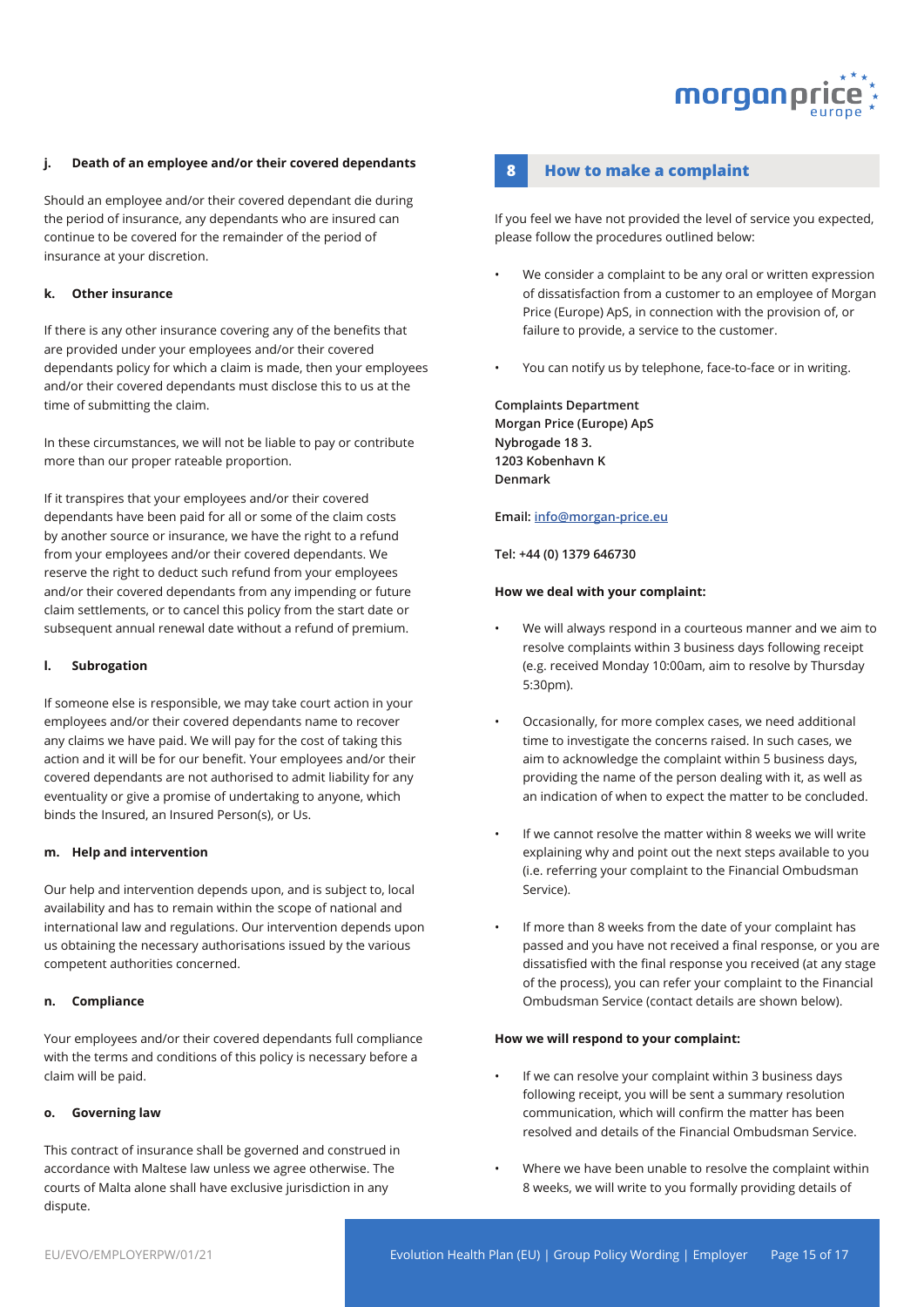

#### **j. Death of an employee and/or their covered dependants**

Should an employee and/or their covered dependant die during the period of insurance, any dependants who are insured can continue to be covered for the remainder of the period of insurance at your discretion.

#### **k. Other insurance**

If there is any other insurance covering any of the benefits that are provided under your employees and/or their covered dependants policy for which a claim is made, then your employees and/or their covered dependants must disclose this to us at the time of submitting the claim.

In these circumstances, we will not be liable to pay or contribute more than our proper rateable proportion.

If it transpires that your employees and/or their covered dependants have been paid for all or some of the claim costs by another source or insurance, we have the right to a refund from your employees and/or their covered dependants. We reserve the right to deduct such refund from your employees and/or their covered dependants from any impending or future claim settlements, or to cancel this policy from the start date or subsequent annual renewal date without a refund of premium.

#### **l. Subrogation**

If someone else is responsible, we may take court action in your employees and/or their covered dependants name to recover any claims we have paid. We will pay for the cost of taking this action and it will be for our benefit. Your employees and/or their covered dependants are not authorised to admit liability for any eventuality or give a promise of undertaking to anyone, which binds the Insured, an Insured Person(s), or Us.

#### **m. Help and intervention**

Our help and intervention depends upon, and is subject to, local availability and has to remain within the scope of national and international law and regulations. Our intervention depends upon us obtaining the necessary authorisations issued by the various competent authorities concerned.

#### **n. Compliance**

Your employees and/or their covered dependants full compliance with the terms and conditions of this policy is necessary before a claim will be paid.

#### **o. Governing law**

This contract of insurance shall be governed and construed in accordance with Maltese law unless we agree otherwise. The courts of Malta alone shall have exclusive jurisdiction in any dispute.

#### **8 How to make a complaint**

If you feel we have not provided the level of service you expected, please follow the procedures outlined below:

- We consider a complaint to be any oral or written expression of dissatisfaction from a customer to an employee of Morgan Price (Europe) ApS, in connection with the provision of, or failure to provide, a service to the customer.
- You can notify us by telephone, face-to-face or in writing.

**Complaints Department Morgan Price (Europe) ApS Nybrogade 18 3. 1203 Kobenhavn K Denmark**

#### **Email: info@morgan-price.eu**

**Tel: +44 (0) 1379 646730**

#### **How we deal with your complaint:**

- We will always respond in a courteous manner and we aim to resolve complaints within 3 business days following receipt (e.g. received Monday 10:00am, aim to resolve by Thursday 5:30pm).
- Occasionally, for more complex cases, we need additional time to investigate the concerns raised. In such cases, we aim to acknowledge the complaint within 5 business days, providing the name of the person dealing with it, as well as an indication of when to expect the matter to be concluded.
- If we cannot resolve the matter within 8 weeks we will write explaining why and point out the next steps available to you (i.e. referring your complaint to the Financial Ombudsman Service).
- If more than 8 weeks from the date of your complaint has passed and you have not received a final response, or you are dissatisfied with the final response you received (at any stage of the process), you can refer your complaint to the Financial Ombudsman Service (contact details are shown below).

#### **How we will respond to your complaint:**

- If we can resolve your complaint within 3 business days following receipt, you will be sent a summary resolution communication, which will confirm the matter has been resolved and details of the Financial Ombudsman Service.
- Where we have been unable to resolve the complaint within 8 weeks, we will write to you formally providing details of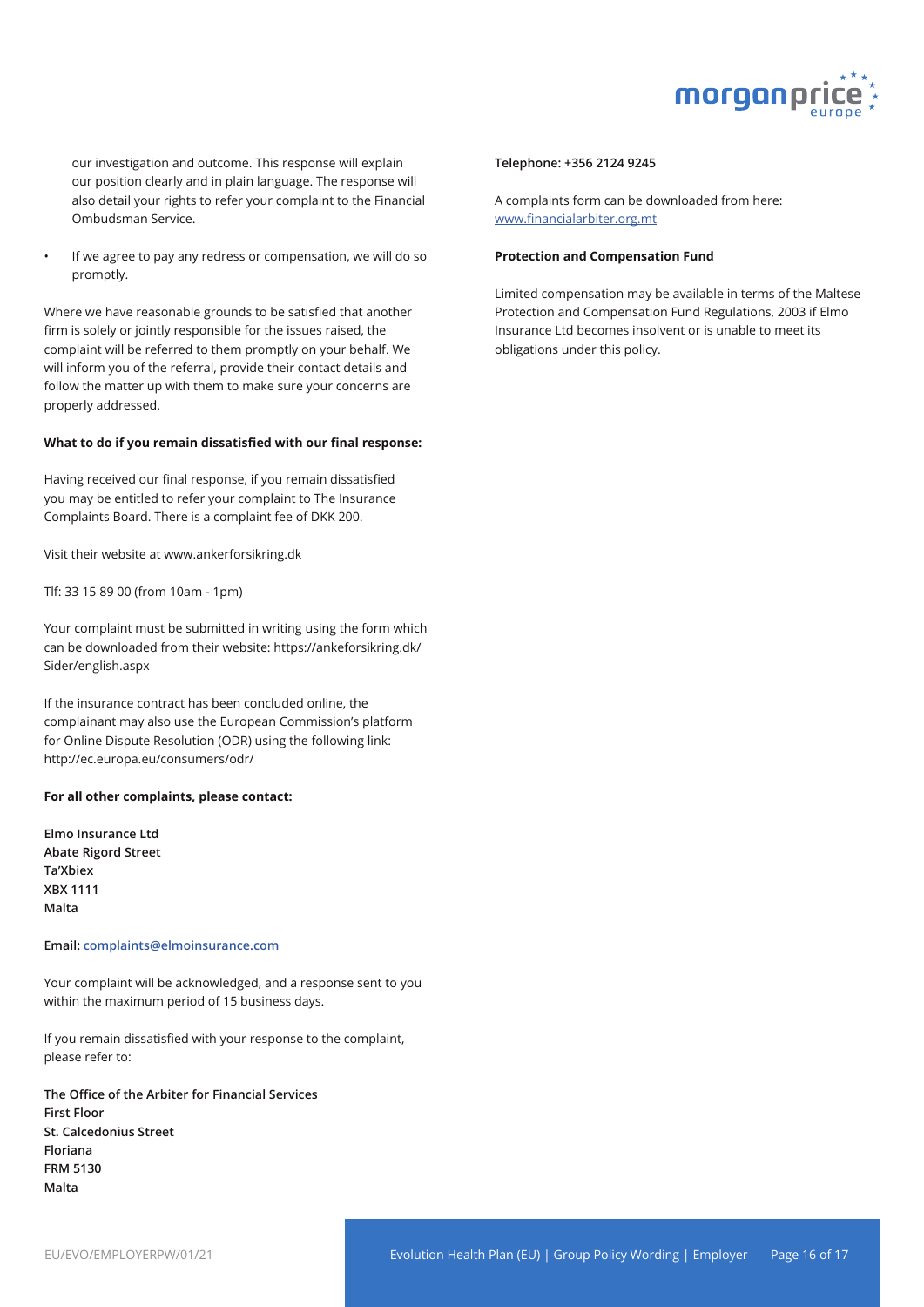

our investigation and outcome. This response will explain our position clearly and in plain language. The response will also detail your rights to refer your complaint to the Financial Ombudsman Service.

If we agree to pay any redress or compensation, we will do so promptly.

Where we have reasonable grounds to be satisfied that another firm is solely or jointly responsible for the issues raised, the complaint will be referred to them promptly on your behalf. We will inform you of the referral, provide their contact details and follow the matter up with them to make sure your concerns are properly addressed.

#### **What to do if you remain dissatisfied with our final response:**

Having received our final response, if you remain dissatisfied you may be entitled to refer your complaint to The Insurance Complaints Board. There is a complaint fee of DKK 200.

Visit their website at www.ankerforsikring.dk

Tlf: 33 15 89 00 (from 10am - 1pm)

Your complaint must be submitted in writing using the form which can be downloaded from their website: https://ankeforsikring.dk/ Sider/english.aspx

If the insurance contract has been concluded online, the complainant may also use the European Commission's platform for Online Dispute Resolution (ODR) using the following link: http://ec.europa.eu/consumers/odr/

#### **For all other complaints, please contact:**

**Elmo Insurance Ltd Abate Rigord Street Ta'Xbiex XBX 1111 Malta**

#### **Email: complaints@elmoinsurance.com**

Your complaint will be acknowledged, and a response sent to you within the maximum period of 15 business days.

If you remain dissatisfied with your response to the complaint, please refer to:

**The Office of the Arbiter for Financial Services First Floor St. Calcedonius Street Floriana FRM 5130 Malta**

#### **Telephone: +356 2124 9245**

A complaints form can be downloaded from here: www.financialarbiter.org.mt

#### **Protection and Compensation Fund**

Limited compensation may be available in terms of the Maltese Protection and Compensation Fund Regulations, 2003 if Elmo Insurance Ltd becomes insolvent or is unable to meet its obligations under this policy.